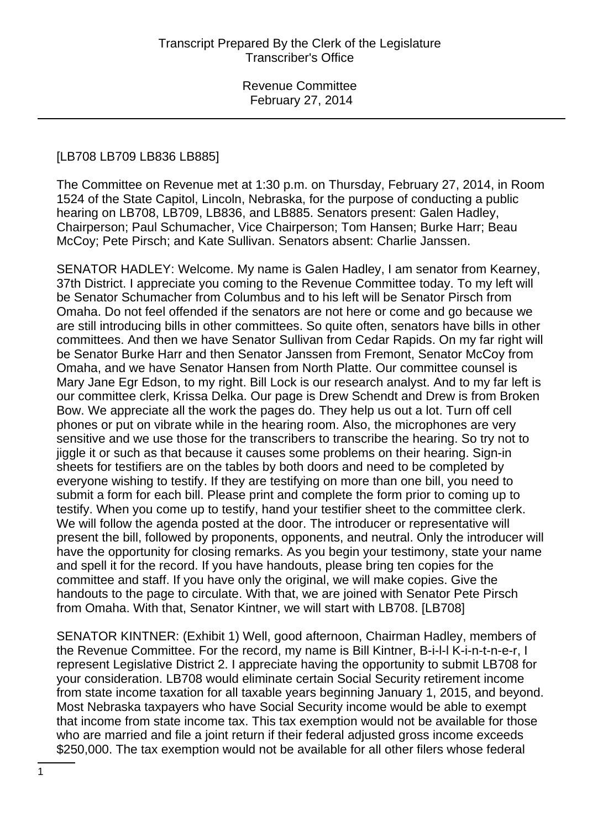#### [LB708 LB709 LB836 LB885]

The Committee on Revenue met at 1:30 p.m. on Thursday, February 27, 2014, in Room 1524 of the State Capitol, Lincoln, Nebraska, for the purpose of conducting a public hearing on LB708, LB709, LB836, and LB885. Senators present: Galen Hadley, Chairperson; Paul Schumacher, Vice Chairperson; Tom Hansen; Burke Harr; Beau McCoy; Pete Pirsch; and Kate Sullivan. Senators absent: Charlie Janssen.

SENATOR HADLEY: Welcome. My name is Galen Hadley, I am senator from Kearney, 37th District. I appreciate you coming to the Revenue Committee today. To my left will be Senator Schumacher from Columbus and to his left will be Senator Pirsch from Omaha. Do not feel offended if the senators are not here or come and go because we are still introducing bills in other committees. So quite often, senators have bills in other committees. And then we have Senator Sullivan from Cedar Rapids. On my far right will be Senator Burke Harr and then Senator Janssen from Fremont, Senator McCoy from Omaha, and we have Senator Hansen from North Platte. Our committee counsel is Mary Jane Egr Edson, to my right. Bill Lock is our research analyst. And to my far left is our committee clerk, Krissa Delka. Our page is Drew Schendt and Drew is from Broken Bow. We appreciate all the work the pages do. They help us out a lot. Turn off cell phones or put on vibrate while in the hearing room. Also, the microphones are very sensitive and we use those for the transcribers to transcribe the hearing. So try not to jiggle it or such as that because it causes some problems on their hearing. Sign-in sheets for testifiers are on the tables by both doors and need to be completed by everyone wishing to testify. If they are testifying on more than one bill, you need to submit a form for each bill. Please print and complete the form prior to coming up to testify. When you come up to testify, hand your testifier sheet to the committee clerk. We will follow the agenda posted at the door. The introducer or representative will present the bill, followed by proponents, opponents, and neutral. Only the introducer will have the opportunity for closing remarks. As you begin your testimony, state your name and spell it for the record. If you have handouts, please bring ten copies for the committee and staff. If you have only the original, we will make copies. Give the handouts to the page to circulate. With that, we are joined with Senator Pete Pirsch from Omaha. With that, Senator Kintner, we will start with LB708. [LB708]

SENATOR KINTNER: (Exhibit 1) Well, good afternoon, Chairman Hadley, members of the Revenue Committee. For the record, my name is Bill Kintner, B-i-l-l K-i-n-t-n-e-r, I represent Legislative District 2. I appreciate having the opportunity to submit LB708 for your consideration. LB708 would eliminate certain Social Security retirement income from state income taxation for all taxable years beginning January 1, 2015, and beyond. Most Nebraska taxpayers who have Social Security income would be able to exempt that income from state income tax. This tax exemption would not be available for those who are married and file a joint return if their federal adjusted gross income exceeds \$250,000. The tax exemption would not be available for all other filers whose federal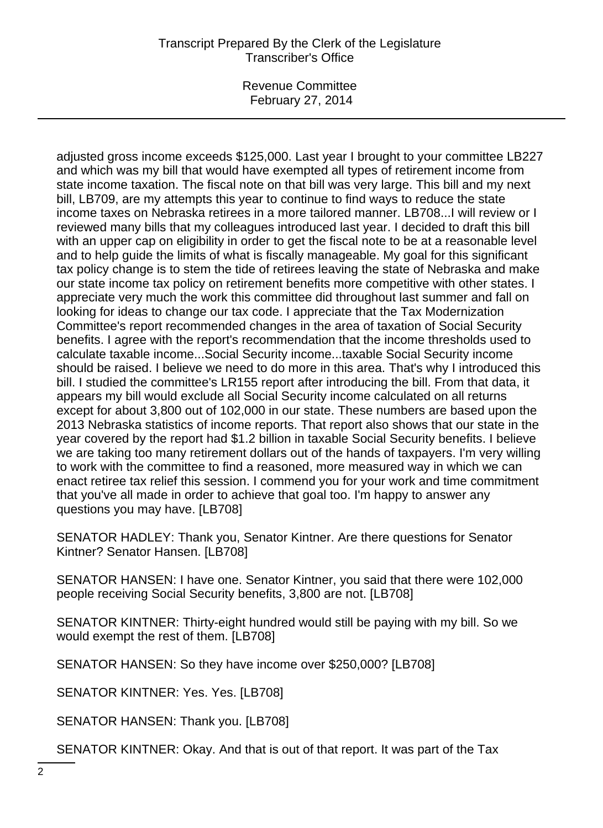Revenue Committee February 27, 2014

adjusted gross income exceeds \$125,000. Last year I brought to your committee LB227 and which was my bill that would have exempted all types of retirement income from state income taxation. The fiscal note on that bill was very large. This bill and my next bill, LB709, are my attempts this year to continue to find ways to reduce the state income taxes on Nebraska retirees in a more tailored manner. LB708...I will review or I reviewed many bills that my colleagues introduced last year. I decided to draft this bill with an upper cap on eligibility in order to get the fiscal note to be at a reasonable level and to help guide the limits of what is fiscally manageable. My goal for this significant tax policy change is to stem the tide of retirees leaving the state of Nebraska and make our state income tax policy on retirement benefits more competitive with other states. I appreciate very much the work this committee did throughout last summer and fall on looking for ideas to change our tax code. I appreciate that the Tax Modernization Committee's report recommended changes in the area of taxation of Social Security benefits. I agree with the report's recommendation that the income thresholds used to calculate taxable income...Social Security income...taxable Social Security income should be raised. I believe we need to do more in this area. That's why I introduced this bill. I studied the committee's LR155 report after introducing the bill. From that data, it appears my bill would exclude all Social Security income calculated on all returns except for about 3,800 out of 102,000 in our state. These numbers are based upon the 2013 Nebraska statistics of income reports. That report also shows that our state in the year covered by the report had \$1.2 billion in taxable Social Security benefits. I believe we are taking too many retirement dollars out of the hands of taxpayers. I'm very willing to work with the committee to find a reasoned, more measured way in which we can enact retiree tax relief this session. I commend you for your work and time commitment that you've all made in order to achieve that goal too. I'm happy to answer any questions you may have. [LB708]

SENATOR HADLEY: Thank you, Senator Kintner. Are there questions for Senator Kintner? Senator Hansen. [LB708]

SENATOR HANSEN: I have one. Senator Kintner, you said that there were 102,000 people receiving Social Security benefits, 3,800 are not. [LB708]

SENATOR KINTNER: Thirty-eight hundred would still be paying with my bill. So we would exempt the rest of them. [LB708]

SENATOR HANSEN: So they have income over \$250,000? [LB708]

SENATOR KINTNER: Yes. Yes. [LB708]

SENATOR HANSEN: Thank you. [LB708]

SENATOR KINTNER: Okay. And that is out of that report. It was part of the Tax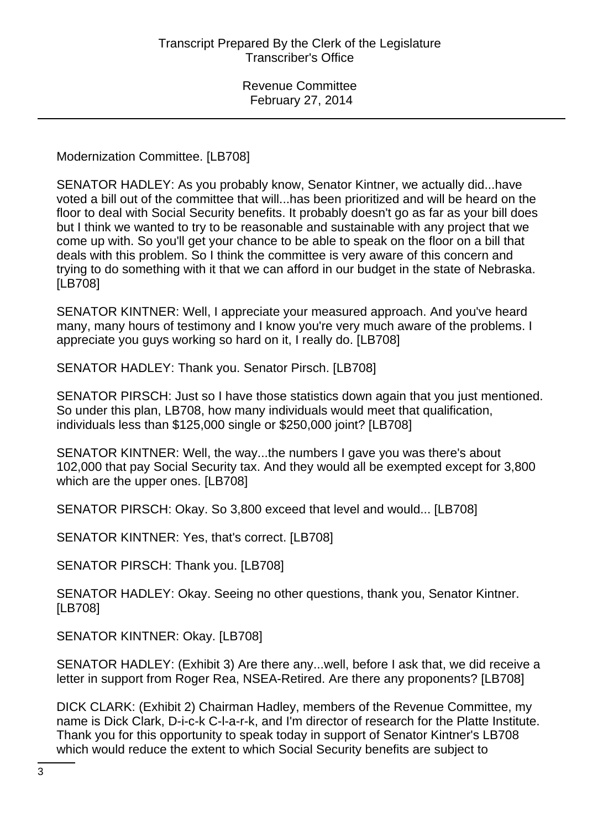Modernization Committee. [LB708]

SENATOR HADLEY: As you probably know, Senator Kintner, we actually did...have voted a bill out of the committee that will...has been prioritized and will be heard on the floor to deal with Social Security benefits. It probably doesn't go as far as your bill does but I think we wanted to try to be reasonable and sustainable with any project that we come up with. So you'll get your chance to be able to speak on the floor on a bill that deals with this problem. So I think the committee is very aware of this concern and trying to do something with it that we can afford in our budget in the state of Nebraska. [LB708]

SENATOR KINTNER: Well, I appreciate your measured approach. And you've heard many, many hours of testimony and I know you're very much aware of the problems. I appreciate you guys working so hard on it, I really do. [LB708]

SENATOR HADLEY: Thank you. Senator Pirsch. [LB708]

SENATOR PIRSCH: Just so I have those statistics down again that you just mentioned. So under this plan, LB708, how many individuals would meet that qualification, individuals less than \$125,000 single or \$250,000 joint? [LB708]

SENATOR KINTNER: Well, the way...the numbers I gave you was there's about 102,000 that pay Social Security tax. And they would all be exempted except for 3,800 which are the upper ones. [LB708]

SENATOR PIRSCH: Okay. So 3,800 exceed that level and would... [LB708]

SENATOR KINTNER: Yes, that's correct. [LB708]

SENATOR PIRSCH: Thank you. [LB708]

SENATOR HADLEY: Okay. Seeing no other questions, thank you, Senator Kintner. [LB708]

SENATOR KINTNER: Okay. [LB708]

SENATOR HADLEY: (Exhibit 3) Are there any...well, before I ask that, we did receive a letter in support from Roger Rea, NSEA-Retired. Are there any proponents? [LB708]

DICK CLARK: (Exhibit 2) Chairman Hadley, members of the Revenue Committee, my name is Dick Clark, D-i-c-k C-l-a-r-k, and I'm director of research for the Platte Institute. Thank you for this opportunity to speak today in support of Senator Kintner's LB708 which would reduce the extent to which Social Security benefits are subject to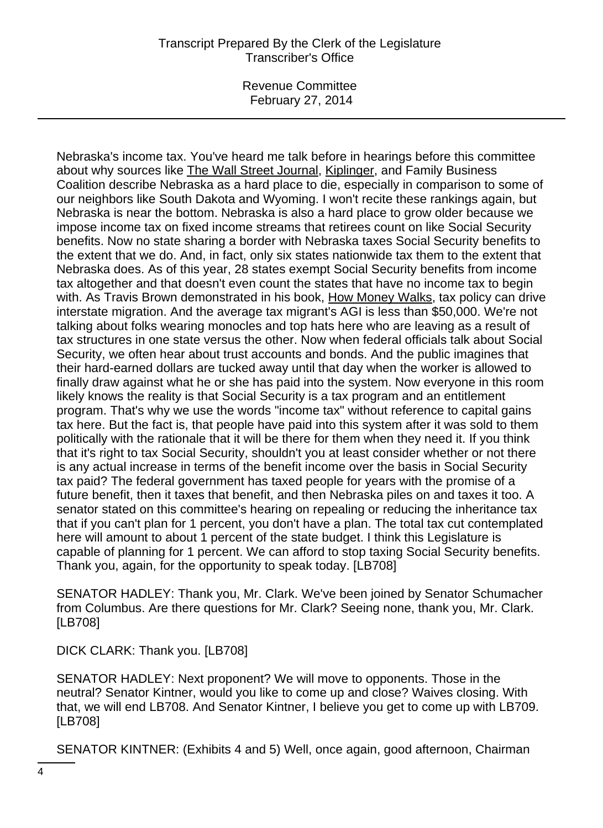Revenue Committee February 27, 2014

Nebraska's income tax. You've heard me talk before in hearings before this committee about why sources like The Wall Street Journal, Kiplinger, and Family Business Coalition describe Nebraska as a hard place to die, especially in comparison to some of our neighbors like South Dakota and Wyoming. I won't recite these rankings again, but Nebraska is near the bottom. Nebraska is also a hard place to grow older because we impose income tax on fixed income streams that retirees count on like Social Security benefits. Now no state sharing a border with Nebraska taxes Social Security benefits to the extent that we do. And, in fact, only six states nationwide tax them to the extent that Nebraska does. As of this year, 28 states exempt Social Security benefits from income tax altogether and that doesn't even count the states that have no income tax to begin with. As Travis Brown demonstrated in his book, How Money Walks, tax policy can drive interstate migration. And the average tax migrant's AGI is less than \$50,000. We're not talking about folks wearing monocles and top hats here who are leaving as a result of tax structures in one state versus the other. Now when federal officials talk about Social Security, we often hear about trust accounts and bonds. And the public imagines that their hard-earned dollars are tucked away until that day when the worker is allowed to finally draw against what he or she has paid into the system. Now everyone in this room likely knows the reality is that Social Security is a tax program and an entitlement program. That's why we use the words "income tax" without reference to capital gains tax here. But the fact is, that people have paid into this system after it was sold to them politically with the rationale that it will be there for them when they need it. If you think that it's right to tax Social Security, shouldn't you at least consider whether or not there is any actual increase in terms of the benefit income over the basis in Social Security tax paid? The federal government has taxed people for years with the promise of a future benefit, then it taxes that benefit, and then Nebraska piles on and taxes it too. A senator stated on this committee's hearing on repealing or reducing the inheritance tax that if you can't plan for 1 percent, you don't have a plan. The total tax cut contemplated here will amount to about 1 percent of the state budget. I think this Legislature is capable of planning for 1 percent. We can afford to stop taxing Social Security benefits. Thank you, again, for the opportunity to speak today. [LB708]

SENATOR HADLEY: Thank you, Mr. Clark. We've been joined by Senator Schumacher from Columbus. Are there questions for Mr. Clark? Seeing none, thank you, Mr. Clark. [LB708]

DICK CLARK: Thank you. [LB708]

SENATOR HADLEY: Next proponent? We will move to opponents. Those in the neutral? Senator Kintner, would you like to come up and close? Waives closing. With that, we will end LB708. And Senator Kintner, I believe you get to come up with LB709. [LB708]

SENATOR KINTNER: (Exhibits 4 and 5) Well, once again, good afternoon, Chairman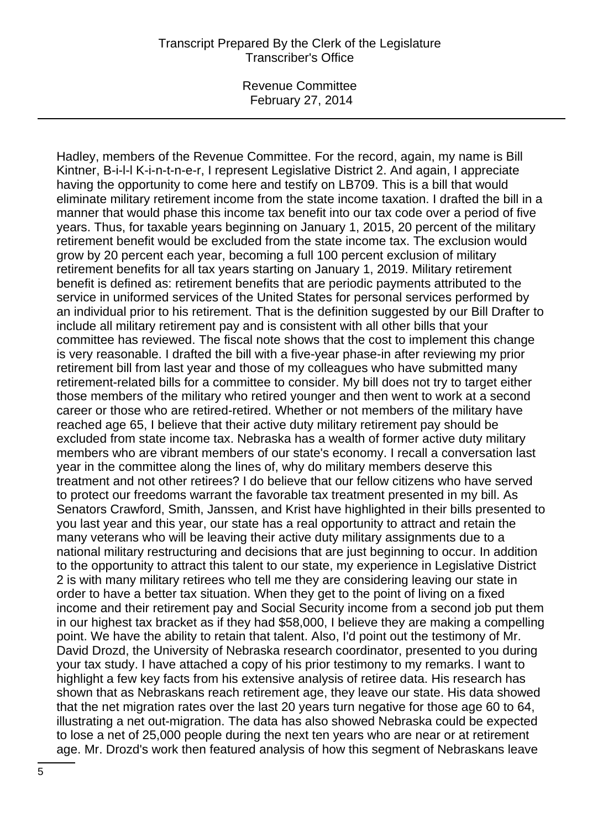Revenue Committee February 27, 2014

Hadley, members of the Revenue Committee. For the record, again, my name is Bill Kintner, B-i-l-l K-i-n-t-n-e-r, I represent Legislative District 2. And again, I appreciate having the opportunity to come here and testify on LB709. This is a bill that would eliminate military retirement income from the state income taxation. I drafted the bill in a manner that would phase this income tax benefit into our tax code over a period of five years. Thus, for taxable years beginning on January 1, 2015, 20 percent of the military retirement benefit would be excluded from the state income tax. The exclusion would grow by 20 percent each year, becoming a full 100 percent exclusion of military retirement benefits for all tax years starting on January 1, 2019. Military retirement benefit is defined as: retirement benefits that are periodic payments attributed to the service in uniformed services of the United States for personal services performed by an individual prior to his retirement. That is the definition suggested by our Bill Drafter to include all military retirement pay and is consistent with all other bills that your committee has reviewed. The fiscal note shows that the cost to implement this change is very reasonable. I drafted the bill with a five-year phase-in after reviewing my prior retirement bill from last year and those of my colleagues who have submitted many retirement-related bills for a committee to consider. My bill does not try to target either those members of the military who retired younger and then went to work at a second career or those who are retired-retired. Whether or not members of the military have reached age 65, I believe that their active duty military retirement pay should be excluded from state income tax. Nebraska has a wealth of former active duty military members who are vibrant members of our state's economy. I recall a conversation last year in the committee along the lines of, why do military members deserve this treatment and not other retirees? I do believe that our fellow citizens who have served to protect our freedoms warrant the favorable tax treatment presented in my bill. As Senators Crawford, Smith, Janssen, and Krist have highlighted in their bills presented to you last year and this year, our state has a real opportunity to attract and retain the many veterans who will be leaving their active duty military assignments due to a national military restructuring and decisions that are just beginning to occur. In addition to the opportunity to attract this talent to our state, my experience in Legislative District 2 is with many military retirees who tell me they are considering leaving our state in order to have a better tax situation. When they get to the point of living on a fixed income and their retirement pay and Social Security income from a second job put them in our highest tax bracket as if they had \$58,000, I believe they are making a compelling point. We have the ability to retain that talent. Also, I'd point out the testimony of Mr. David Drozd, the University of Nebraska research coordinator, presented to you during your tax study. I have attached a copy of his prior testimony to my remarks. I want to highlight a few key facts from his extensive analysis of retiree data. His research has shown that as Nebraskans reach retirement age, they leave our state. His data showed that the net migration rates over the last 20 years turn negative for those age 60 to 64, illustrating a net out-migration. The data has also showed Nebraska could be expected to lose a net of 25,000 people during the next ten years who are near or at retirement age. Mr. Drozd's work then featured analysis of how this segment of Nebraskans leave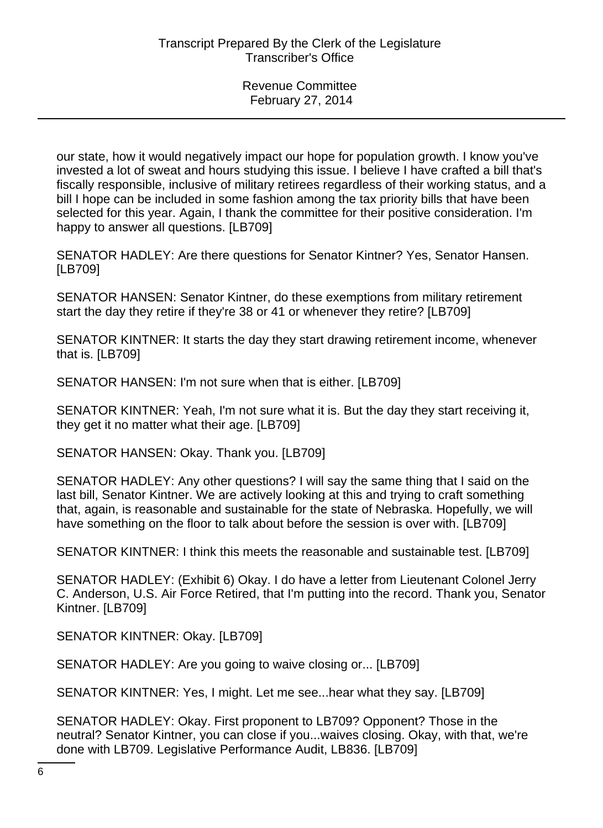our state, how it would negatively impact our hope for population growth. I know you've invested a lot of sweat and hours studying this issue. I believe I have crafted a bill that's fiscally responsible, inclusive of military retirees regardless of their working status, and a bill I hope can be included in some fashion among the tax priority bills that have been selected for this year. Again, I thank the committee for their positive consideration. I'm happy to answer all questions. [LB709]

SENATOR HADLEY: Are there questions for Senator Kintner? Yes, Senator Hansen. [LB709]

SENATOR HANSEN: Senator Kintner, do these exemptions from military retirement start the day they retire if they're 38 or 41 or whenever they retire? [LB709]

SENATOR KINTNER: It starts the day they start drawing retirement income, whenever that is. [LB709]

SENATOR HANSEN: I'm not sure when that is either. [LB709]

SENATOR KINTNER: Yeah, I'm not sure what it is. But the day they start receiving it, they get it no matter what their age. [LB709]

SENATOR HANSEN: Okay. Thank you. [LB709]

SENATOR HADLEY: Any other questions? I will say the same thing that I said on the last bill, Senator Kintner. We are actively looking at this and trying to craft something that, again, is reasonable and sustainable for the state of Nebraska. Hopefully, we will have something on the floor to talk about before the session is over with. [LB709]

SENATOR KINTNER: I think this meets the reasonable and sustainable test. [LB709]

SENATOR HADLEY: (Exhibit 6) Okay. I do have a letter from Lieutenant Colonel Jerry C. Anderson, U.S. Air Force Retired, that I'm putting into the record. Thank you, Senator Kintner. [LB709]

SENATOR KINTNER: Okay. [LB709]

SENATOR HADLEY: Are you going to waive closing or... [LB709]

SENATOR KINTNER: Yes, I might. Let me see...hear what they say. [LB709]

SENATOR HADLEY: Okay. First proponent to LB709? Opponent? Those in the neutral? Senator Kintner, you can close if you...waives closing. Okay, with that, we're done with LB709. Legislative Performance Audit, LB836. [LB709]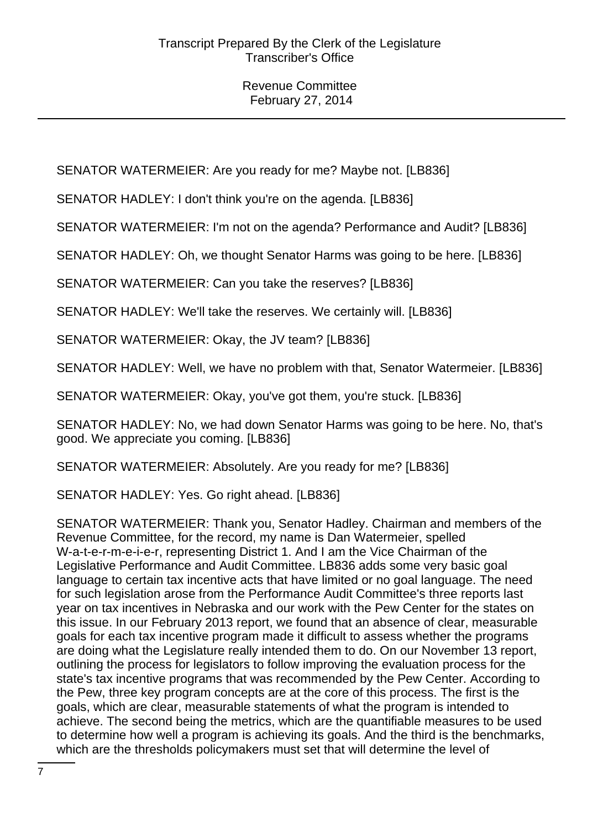SENATOR WATERMEIER: Are you ready for me? Maybe not. [LB836]

SENATOR HADLEY: I don't think you're on the agenda. [LB836]

SENATOR WATERMEIER: I'm not on the agenda? Performance and Audit? [LB836]

SENATOR HADLEY: Oh, we thought Senator Harms was going to be here. [LB836]

SENATOR WATERMEIER: Can you take the reserves? [LB836]

SENATOR HADLEY: We'll take the reserves. We certainly will. [LB836]

SENATOR WATERMEIER: Okay, the JV team? [LB836]

SENATOR HADLEY: Well, we have no problem with that, Senator Watermeier. [LB836]

SENATOR WATERMEIER: Okay, you've got them, you're stuck. [LB836]

SENATOR HADLEY: No, we had down Senator Harms was going to be here. No, that's good. We appreciate you coming. [LB836]

SENATOR WATERMEIER: Absolutely. Are you ready for me? [LB836]

SENATOR HADLEY: Yes. Go right ahead. [LB836]

SENATOR WATERMEIER: Thank you, Senator Hadley. Chairman and members of the Revenue Committee, for the record, my name is Dan Watermeier, spelled W-a-t-e-r-m-e-i-e-r, representing District 1. And I am the Vice Chairman of the Legislative Performance and Audit Committee. LB836 adds some very basic goal language to certain tax incentive acts that have limited or no goal language. The need for such legislation arose from the Performance Audit Committee's three reports last year on tax incentives in Nebraska and our work with the Pew Center for the states on this issue. In our February 2013 report, we found that an absence of clear, measurable goals for each tax incentive program made it difficult to assess whether the programs are doing what the Legislature really intended them to do. On our November 13 report, outlining the process for legislators to follow improving the evaluation process for the state's tax incentive programs that was recommended by the Pew Center. According to the Pew, three key program concepts are at the core of this process. The first is the goals, which are clear, measurable statements of what the program is intended to achieve. The second being the metrics, which are the quantifiable measures to be used to determine how well a program is achieving its goals. And the third is the benchmarks, which are the thresholds policymakers must set that will determine the level of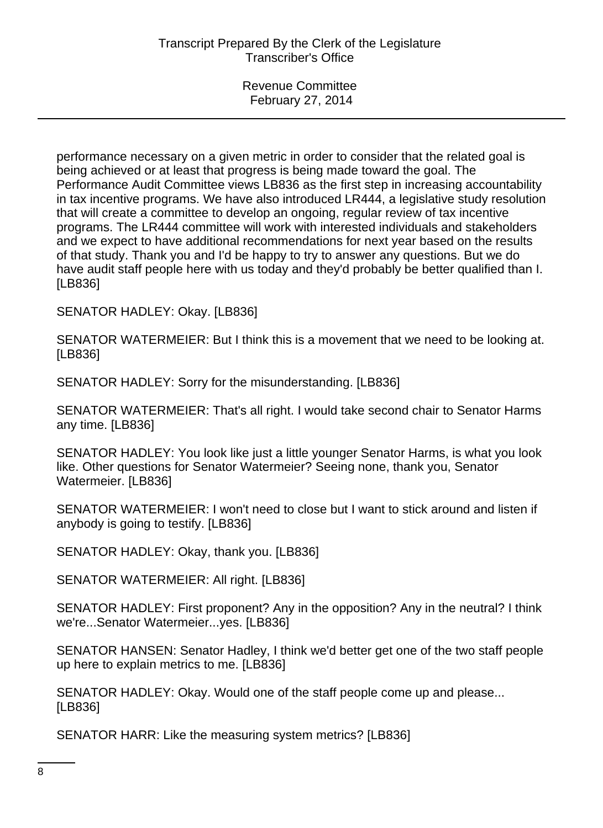performance necessary on a given metric in order to consider that the related goal is being achieved or at least that progress is being made toward the goal. The Performance Audit Committee views LB836 as the first step in increasing accountability in tax incentive programs. We have also introduced LR444, a legislative study resolution that will create a committee to develop an ongoing, regular review of tax incentive programs. The LR444 committee will work with interested individuals and stakeholders and we expect to have additional recommendations for next year based on the results of that study. Thank you and I'd be happy to try to answer any questions. But we do have audit staff people here with us today and they'd probably be better qualified than I. [LB836]

SENATOR HADLEY: Okay. [LB836]

SENATOR WATERMEIER: But I think this is a movement that we need to be looking at. [LB836]

SENATOR HADLEY: Sorry for the misunderstanding. [LB836]

SENATOR WATERMEIER: That's all right. I would take second chair to Senator Harms any time. [LB836]

SENATOR HADLEY: You look like just a little younger Senator Harms, is what you look like. Other questions for Senator Watermeier? Seeing none, thank you, Senator Watermeier. [LB836]

SENATOR WATERMEIER: I won't need to close but I want to stick around and listen if anybody is going to testify. [LB836]

SENATOR HADLEY: Okay, thank you. [LB836]

SENATOR WATERMEIER: All right. [LB836]

SENATOR HADLEY: First proponent? Any in the opposition? Any in the neutral? I think we're...Senator Watermeier...yes. [LB836]

SENATOR HANSEN: Senator Hadley, I think we'd better get one of the two staff people up here to explain metrics to me. [LB836]

SENATOR HADLEY: Okay. Would one of the staff people come up and please... [LB836]

SENATOR HARR: Like the measuring system metrics? [LB836]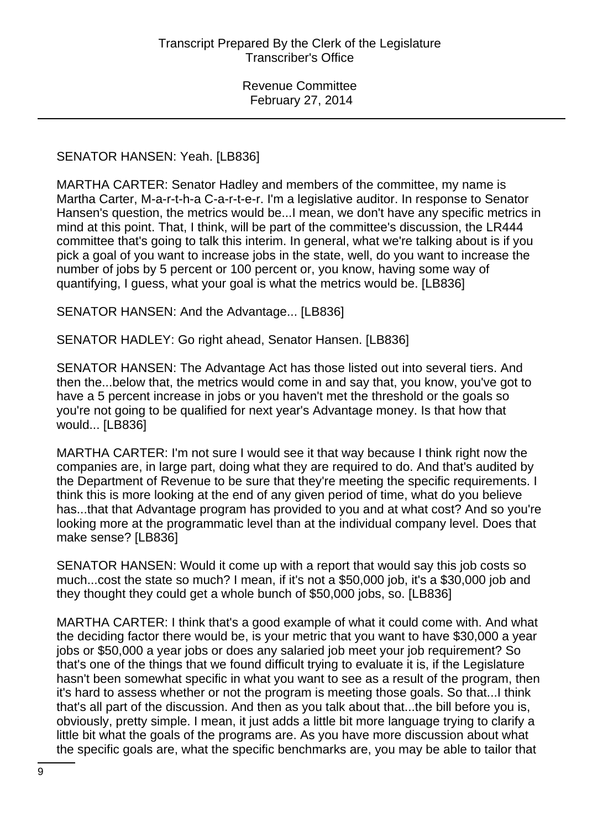#### SENATOR HANSEN: Yeah. [LB836]

MARTHA CARTER: Senator Hadley and members of the committee, my name is Martha Carter, M-a-r-t-h-a C-a-r-t-e-r. I'm a legislative auditor. In response to Senator Hansen's question, the metrics would be...I mean, we don't have any specific metrics in mind at this point. That, I think, will be part of the committee's discussion, the LR444 committee that's going to talk this interim. In general, what we're talking about is if you pick a goal of you want to increase jobs in the state, well, do you want to increase the number of jobs by 5 percent or 100 percent or, you know, having some way of quantifying, I guess, what your goal is what the metrics would be. [LB836]

SENATOR HANSEN: And the Advantage... [LB836]

SENATOR HADLEY: Go right ahead, Senator Hansen. [LB836]

SENATOR HANSEN: The Advantage Act has those listed out into several tiers. And then the...below that, the metrics would come in and say that, you know, you've got to have a 5 percent increase in jobs or you haven't met the threshold or the goals so you're not going to be qualified for next year's Advantage money. Is that how that would... [LB836]

MARTHA CARTER: I'm not sure I would see it that way because I think right now the companies are, in large part, doing what they are required to do. And that's audited by the Department of Revenue to be sure that they're meeting the specific requirements. I think this is more looking at the end of any given period of time, what do you believe has...that that Advantage program has provided to you and at what cost? And so you're looking more at the programmatic level than at the individual company level. Does that make sense? [LB836]

SENATOR HANSEN: Would it come up with a report that would say this job costs so much...cost the state so much? I mean, if it's not a \$50,000 job, it's a \$30,000 job and they thought they could get a whole bunch of \$50,000 jobs, so. [LB836]

MARTHA CARTER: I think that's a good example of what it could come with. And what the deciding factor there would be, is your metric that you want to have \$30,000 a year jobs or \$50,000 a year jobs or does any salaried job meet your job requirement? So that's one of the things that we found difficult trying to evaluate it is, if the Legislature hasn't been somewhat specific in what you want to see as a result of the program, then it's hard to assess whether or not the program is meeting those goals. So that...I think that's all part of the discussion. And then as you talk about that...the bill before you is, obviously, pretty simple. I mean, it just adds a little bit more language trying to clarify a little bit what the goals of the programs are. As you have more discussion about what the specific goals are, what the specific benchmarks are, you may be able to tailor that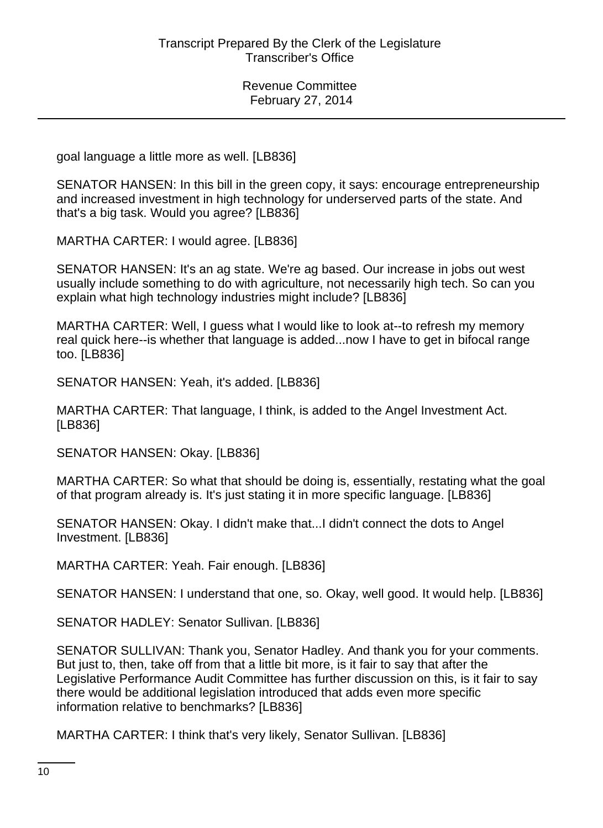goal language a little more as well. [LB836]

SENATOR HANSEN: In this bill in the green copy, it says: encourage entrepreneurship and increased investment in high technology for underserved parts of the state. And that's a big task. Would you agree? [LB836]

MARTHA CARTER: I would agree. [LB836]

SENATOR HANSEN: It's an ag state. We're ag based. Our increase in jobs out west usually include something to do with agriculture, not necessarily high tech. So can you explain what high technology industries might include? [LB836]

MARTHA CARTER: Well, I guess what I would like to look at--to refresh my memory real quick here--is whether that language is added...now I have to get in bifocal range too. [LB836]

SENATOR HANSEN: Yeah, it's added. [LB836]

MARTHA CARTER: That language, I think, is added to the Angel Investment Act. [LB836]

SENATOR HANSEN: Okay. [LB836]

MARTHA CARTER: So what that should be doing is, essentially, restating what the goal of that program already is. It's just stating it in more specific language. [LB836]

SENATOR HANSEN: Okay. I didn't make that...I didn't connect the dots to Angel Investment. [LB836]

MARTHA CARTER: Yeah. Fair enough. [LB836]

SENATOR HANSEN: I understand that one, so. Okay, well good. It would help. [LB836]

SENATOR HADLEY: Senator Sullivan. [LB836]

SENATOR SULLIVAN: Thank you, Senator Hadley. And thank you for your comments. But just to, then, take off from that a little bit more, is it fair to say that after the Legislative Performance Audit Committee has further discussion on this, is it fair to say there would be additional legislation introduced that adds even more specific information relative to benchmarks? [LB836]

MARTHA CARTER: I think that's very likely, Senator Sullivan. [LB836]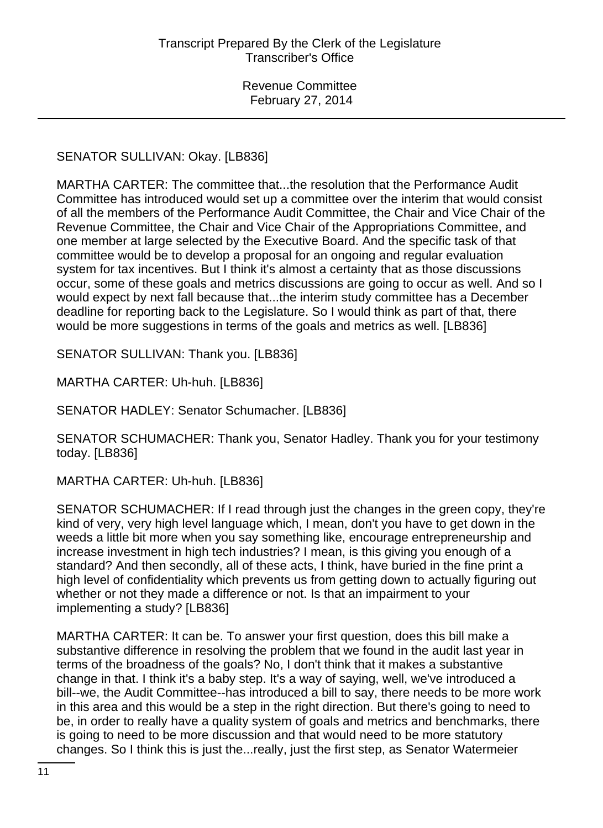# SENATOR SULLIVAN: Okay. [LB836]

MARTHA CARTER: The committee that...the resolution that the Performance Audit Committee has introduced would set up a committee over the interim that would consist of all the members of the Performance Audit Committee, the Chair and Vice Chair of the Revenue Committee, the Chair and Vice Chair of the Appropriations Committee, and one member at large selected by the Executive Board. And the specific task of that committee would be to develop a proposal for an ongoing and regular evaluation system for tax incentives. But I think it's almost a certainty that as those discussions occur, some of these goals and metrics discussions are going to occur as well. And so I would expect by next fall because that...the interim study committee has a December deadline for reporting back to the Legislature. So I would think as part of that, there would be more suggestions in terms of the goals and metrics as well. [LB836]

SENATOR SULLIVAN: Thank you. [LB836]

MARTHA CARTER: Uh-huh. [LB836]

SENATOR HADLEY: Senator Schumacher. [LB836]

SENATOR SCHUMACHER: Thank you, Senator Hadley. Thank you for your testimony today. [LB836]

MARTHA CARTER: Uh-huh. [LB836]

SENATOR SCHUMACHER: If I read through just the changes in the green copy, they're kind of very, very high level language which, I mean, don't you have to get down in the weeds a little bit more when you say something like, encourage entrepreneurship and increase investment in high tech industries? I mean, is this giving you enough of a standard? And then secondly, all of these acts, I think, have buried in the fine print a high level of confidentiality which prevents us from getting down to actually figuring out whether or not they made a difference or not. Is that an impairment to your implementing a study? [LB836]

MARTHA CARTER: It can be. To answer your first question, does this bill make a substantive difference in resolving the problem that we found in the audit last year in terms of the broadness of the goals? No, I don't think that it makes a substantive change in that. I think it's a baby step. It's a way of saying, well, we've introduced a bill--we, the Audit Committee--has introduced a bill to say, there needs to be more work in this area and this would be a step in the right direction. But there's going to need to be, in order to really have a quality system of goals and metrics and benchmarks, there is going to need to be more discussion and that would need to be more statutory changes. So I think this is just the...really, just the first step, as Senator Watermeier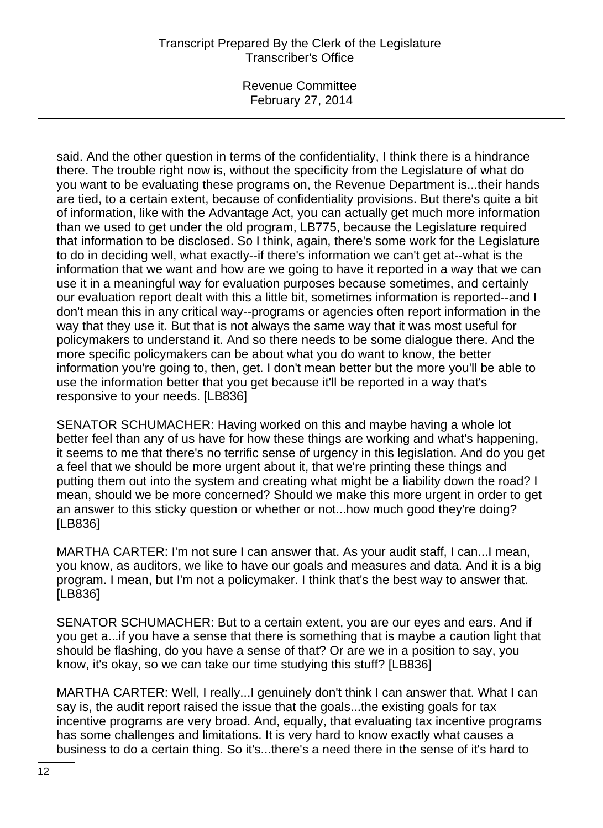Revenue Committee February 27, 2014

said. And the other question in terms of the confidentiality, I think there is a hindrance there. The trouble right now is, without the specificity from the Legislature of what do you want to be evaluating these programs on, the Revenue Department is...their hands are tied, to a certain extent, because of confidentiality provisions. But there's quite a bit of information, like with the Advantage Act, you can actually get much more information than we used to get under the old program, LB775, because the Legislature required that information to be disclosed. So I think, again, there's some work for the Legislature to do in deciding well, what exactly--if there's information we can't get at--what is the information that we want and how are we going to have it reported in a way that we can use it in a meaningful way for evaluation purposes because sometimes, and certainly our evaluation report dealt with this a little bit, sometimes information is reported--and I don't mean this in any critical way--programs or agencies often report information in the way that they use it. But that is not always the same way that it was most useful for policymakers to understand it. And so there needs to be some dialogue there. And the more specific policymakers can be about what you do want to know, the better information you're going to, then, get. I don't mean better but the more you'll be able to use the information better that you get because it'll be reported in a way that's responsive to your needs. [LB836]

SENATOR SCHUMACHER: Having worked on this and maybe having a whole lot better feel than any of us have for how these things are working and what's happening, it seems to me that there's no terrific sense of urgency in this legislation. And do you get a feel that we should be more urgent about it, that we're printing these things and putting them out into the system and creating what might be a liability down the road? I mean, should we be more concerned? Should we make this more urgent in order to get an answer to this sticky question or whether or not...how much good they're doing? [LB836]

MARTHA CARTER: I'm not sure I can answer that. As your audit staff, I can...I mean, you know, as auditors, we like to have our goals and measures and data. And it is a big program. I mean, but I'm not a policymaker. I think that's the best way to answer that. [LB836]

SENATOR SCHUMACHER: But to a certain extent, you are our eyes and ears. And if you get a...if you have a sense that there is something that is maybe a caution light that should be flashing, do you have a sense of that? Or are we in a position to say, you know, it's okay, so we can take our time studying this stuff? [LB836]

MARTHA CARTER: Well, I really...I genuinely don't think I can answer that. What I can say is, the audit report raised the issue that the goals...the existing goals for tax incentive programs are very broad. And, equally, that evaluating tax incentive programs has some challenges and limitations. It is very hard to know exactly what causes a business to do a certain thing. So it's...there's a need there in the sense of it's hard to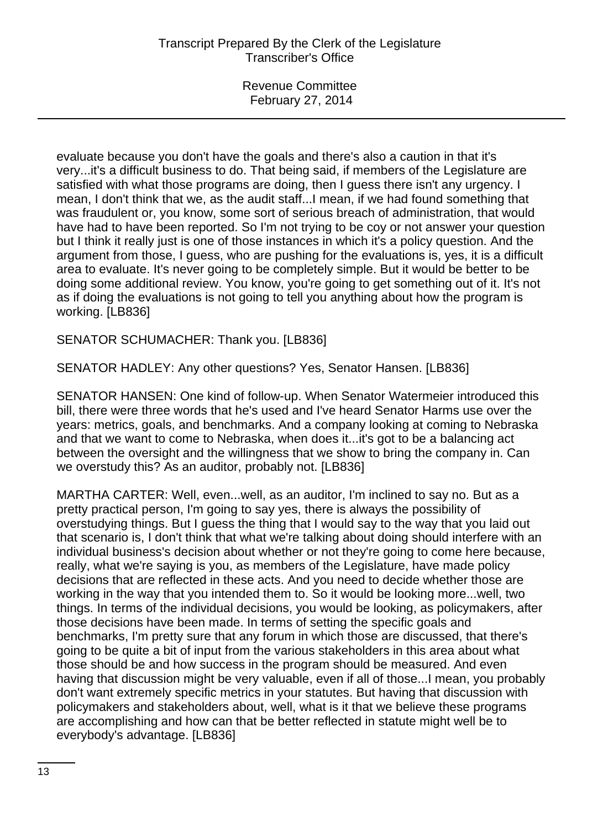evaluate because you don't have the goals and there's also a caution in that it's very...it's a difficult business to do. That being said, if members of the Legislature are satisfied with what those programs are doing, then I guess there isn't any urgency. I mean, I don't think that we, as the audit staff...I mean, if we had found something that was fraudulent or, you know, some sort of serious breach of administration, that would have had to have been reported. So I'm not trying to be coy or not answer your question but I think it really just is one of those instances in which it's a policy question. And the argument from those, I guess, who are pushing for the evaluations is, yes, it is a difficult area to evaluate. It's never going to be completely simple. But it would be better to be doing some additional review. You know, you're going to get something out of it. It's not as if doing the evaluations is not going to tell you anything about how the program is working. [LB836]

SENATOR SCHUMACHER: Thank you. [LB836]

SENATOR HADLEY: Any other questions? Yes, Senator Hansen. [LB836]

SENATOR HANSEN: One kind of follow-up. When Senator Watermeier introduced this bill, there were three words that he's used and I've heard Senator Harms use over the years: metrics, goals, and benchmarks. And a company looking at coming to Nebraska and that we want to come to Nebraska, when does it...it's got to be a balancing act between the oversight and the willingness that we show to bring the company in. Can we overstudy this? As an auditor, probably not. [LB836]

MARTHA CARTER: Well, even...well, as an auditor, I'm inclined to say no. But as a pretty practical person, I'm going to say yes, there is always the possibility of overstudying things. But I guess the thing that I would say to the way that you laid out that scenario is, I don't think that what we're talking about doing should interfere with an individual business's decision about whether or not they're going to come here because, really, what we're saying is you, as members of the Legislature, have made policy decisions that are reflected in these acts. And you need to decide whether those are working in the way that you intended them to. So it would be looking more...well, two things. In terms of the individual decisions, you would be looking, as policymakers, after those decisions have been made. In terms of setting the specific goals and benchmarks, I'm pretty sure that any forum in which those are discussed, that there's going to be quite a bit of input from the various stakeholders in this area about what those should be and how success in the program should be measured. And even having that discussion might be very valuable, even if all of those...I mean, you probably don't want extremely specific metrics in your statutes. But having that discussion with policymakers and stakeholders about, well, what is it that we believe these programs are accomplishing and how can that be better reflected in statute might well be to everybody's advantage. [LB836]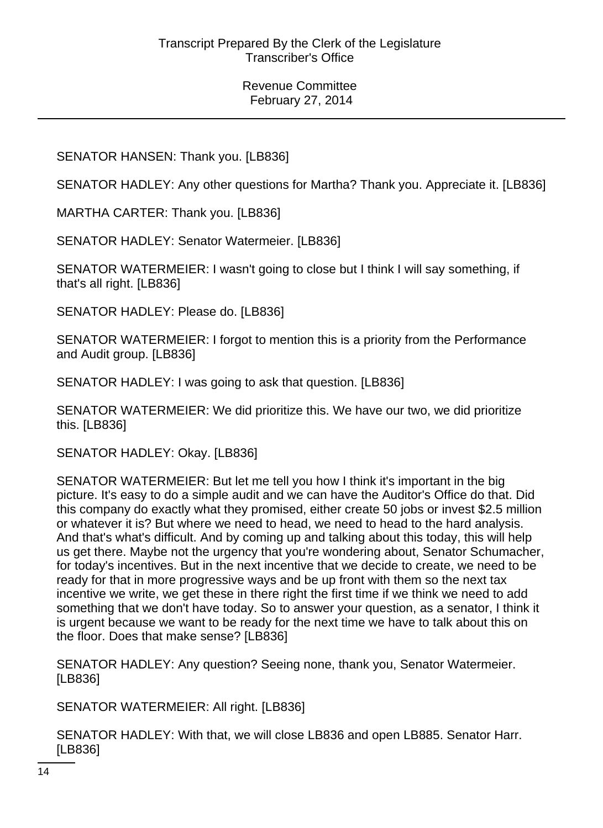# SENATOR HANSEN: Thank you. [LB836]

SENATOR HADLEY: Any other questions for Martha? Thank you. Appreciate it. [LB836]

MARTHA CARTER: Thank you. [LB836]

SENATOR HADLEY: Senator Watermeier. [LB836]

SENATOR WATERMEIER: I wasn't going to close but I think I will say something, if that's all right. [LB836]

SENATOR HADLEY: Please do. [LB836]

SENATOR WATERMEIER: I forgot to mention this is a priority from the Performance and Audit group. [LB836]

SENATOR HADLEY: I was going to ask that question. [LB836]

SENATOR WATERMEIER: We did prioritize this. We have our two, we did prioritize this. [LB836]

SENATOR HADLEY: Okay. [LB836]

SENATOR WATERMEIER: But let me tell you how I think it's important in the big picture. It's easy to do a simple audit and we can have the Auditor's Office do that. Did this company do exactly what they promised, either create 50 jobs or invest \$2.5 million or whatever it is? But where we need to head, we need to head to the hard analysis. And that's what's difficult. And by coming up and talking about this today, this will help us get there. Maybe not the urgency that you're wondering about, Senator Schumacher, for today's incentives. But in the next incentive that we decide to create, we need to be ready for that in more progressive ways and be up front with them so the next tax incentive we write, we get these in there right the first time if we think we need to add something that we don't have today. So to answer your question, as a senator, I think it is urgent because we want to be ready for the next time we have to talk about this on the floor. Does that make sense? [LB836]

SENATOR HADLEY: Any question? Seeing none, thank you, Senator Watermeier. [LB836]

SENATOR WATERMEIER: All right. [LB836]

SENATOR HADLEY: With that, we will close LB836 and open LB885. Senator Harr. [LB836]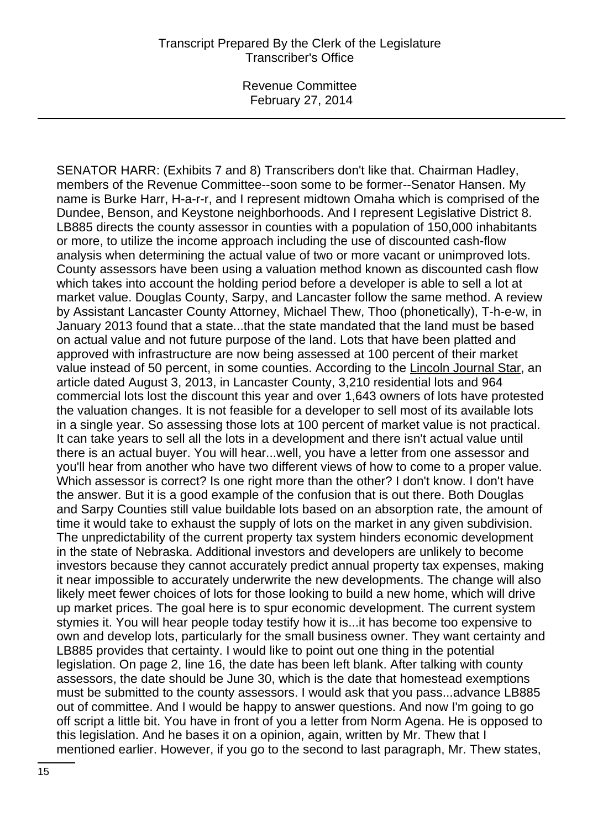SENATOR HARR: (Exhibits 7 and 8) Transcribers don't like that. Chairman Hadley, members of the Revenue Committee--soon some to be former--Senator Hansen. My name is Burke Harr, H-a-r-r, and I represent midtown Omaha which is comprised of the Dundee, Benson, and Keystone neighborhoods. And I represent Legislative District 8. LB885 directs the county assessor in counties with a population of 150,000 inhabitants or more, to utilize the income approach including the use of discounted cash-flow analysis when determining the actual value of two or more vacant or unimproved lots. County assessors have been using a valuation method known as discounted cash flow which takes into account the holding period before a developer is able to sell a lot at market value. Douglas County, Sarpy, and Lancaster follow the same method. A review by Assistant Lancaster County Attorney, Michael Thew, Thoo (phonetically), T-h-e-w, in January 2013 found that a state...that the state mandated that the land must be based on actual value and not future purpose of the land. Lots that have been platted and approved with infrastructure are now being assessed at 100 percent of their market value instead of 50 percent, in some counties. According to the Lincoln Journal Star, an article dated August 3, 2013, in Lancaster County, 3,210 residential lots and 964 commercial lots lost the discount this year and over 1,643 owners of lots have protested the valuation changes. It is not feasible for a developer to sell most of its available lots in a single year. So assessing those lots at 100 percent of market value is not practical. It can take years to sell all the lots in a development and there isn't actual value until there is an actual buyer. You will hear...well, you have a letter from one assessor and you'll hear from another who have two different views of how to come to a proper value. Which assessor is correct? Is one right more than the other? I don't know. I don't have the answer. But it is a good example of the confusion that is out there. Both Douglas and Sarpy Counties still value buildable lots based on an absorption rate, the amount of time it would take to exhaust the supply of lots on the market in any given subdivision. The unpredictability of the current property tax system hinders economic development in the state of Nebraska. Additional investors and developers are unlikely to become investors because they cannot accurately predict annual property tax expenses, making it near impossible to accurately underwrite the new developments. The change will also likely meet fewer choices of lots for those looking to build a new home, which will drive up market prices. The goal here is to spur economic development. The current system stymies it. You will hear people today testify how it is...it has become too expensive to own and develop lots, particularly for the small business owner. They want certainty and LB885 provides that certainty. I would like to point out one thing in the potential legislation. On page 2, line 16, the date has been left blank. After talking with county assessors, the date should be June 30, which is the date that homestead exemptions must be submitted to the county assessors. I would ask that you pass...advance LB885 out of committee. And I would be happy to answer questions. And now I'm going to go off script a little bit. You have in front of you a letter from Norm Agena. He is opposed to this legislation. And he bases it on a opinion, again, written by Mr. Thew that I mentioned earlier. However, if you go to the second to last paragraph, Mr. Thew states,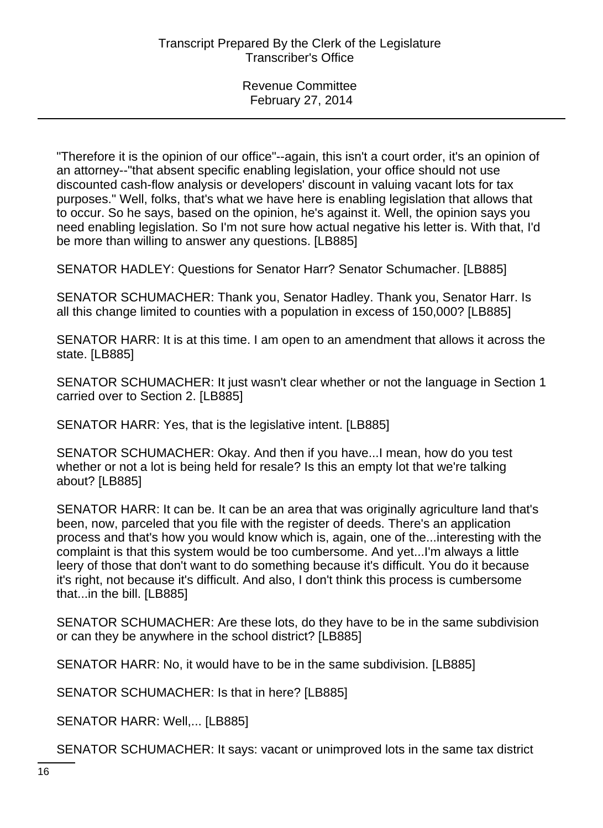"Therefore it is the opinion of our office"--again, this isn't a court order, it's an opinion of an attorney--"that absent specific enabling legislation, your office should not use discounted cash-flow analysis or developers' discount in valuing vacant lots for tax purposes." Well, folks, that's what we have here is enabling legislation that allows that to occur. So he says, based on the opinion, he's against it. Well, the opinion says you need enabling legislation. So I'm not sure how actual negative his letter is. With that, I'd be more than willing to answer any questions. [LB885]

SENATOR HADLEY: Questions for Senator Harr? Senator Schumacher. [LB885]

SENATOR SCHUMACHER: Thank you, Senator Hadley. Thank you, Senator Harr. Is all this change limited to counties with a population in excess of 150,000? [LB885]

SENATOR HARR: It is at this time. I am open to an amendment that allows it across the state. [LB885]

SENATOR SCHUMACHER: It just wasn't clear whether or not the language in Section 1 carried over to Section 2. [LB885]

SENATOR HARR: Yes, that is the legislative intent. [LB885]

SENATOR SCHUMACHER: Okay. And then if you have...I mean, how do you test whether or not a lot is being held for resale? Is this an empty lot that we're talking about? [LB885]

SENATOR HARR: It can be. It can be an area that was originally agriculture land that's been, now, parceled that you file with the register of deeds. There's an application process and that's how you would know which is, again, one of the...interesting with the complaint is that this system would be too cumbersome. And yet...I'm always a little leery of those that don't want to do something because it's difficult. You do it because it's right, not because it's difficult. And also, I don't think this process is cumbersome that...in the bill. [LB885]

SENATOR SCHUMACHER: Are these lots, do they have to be in the same subdivision or can they be anywhere in the school district? [LB885]

SENATOR HARR: No, it would have to be in the same subdivision. [LB885]

SENATOR SCHUMACHER: Is that in here? [LB885]

SENATOR HARR: Well,... [LB885]

SENATOR SCHUMACHER: It says: vacant or unimproved lots in the same tax district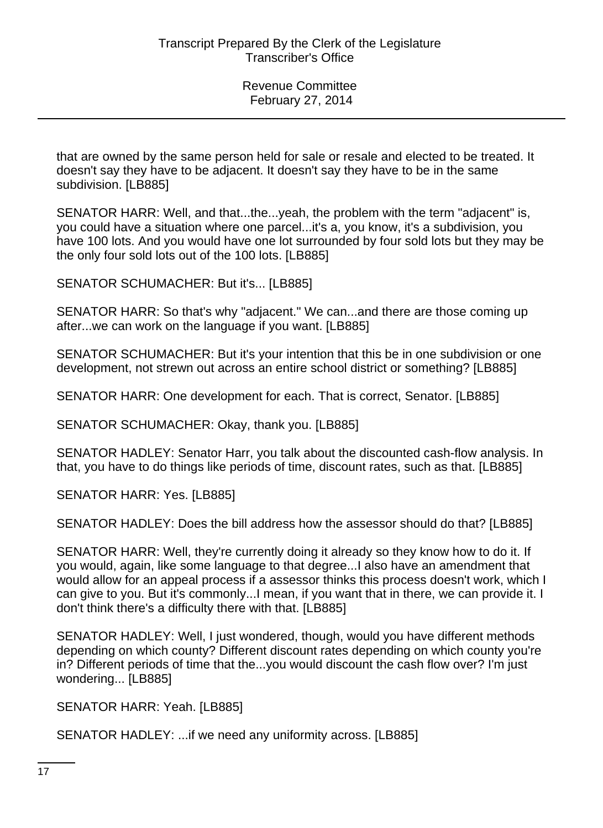that are owned by the same person held for sale or resale and elected to be treated. It doesn't say they have to be adjacent. It doesn't say they have to be in the same subdivision. [LB885]

SENATOR HARR: Well, and that...the...yeah, the problem with the term "adjacent" is, you could have a situation where one parcel...it's a, you know, it's a subdivision, you have 100 lots. And you would have one lot surrounded by four sold lots but they may be the only four sold lots out of the 100 lots. [LB885]

SENATOR SCHUMACHER: But it's... [LB885]

SENATOR HARR: So that's why "adjacent." We can...and there are those coming up after...we can work on the language if you want. [LB885]

SENATOR SCHUMACHER: But it's your intention that this be in one subdivision or one development, not strewn out across an entire school district or something? [LB885]

SENATOR HARR: One development for each. That is correct, Senator. [LB885]

SENATOR SCHUMACHER: Okay, thank you. [LB885]

SENATOR HADLEY: Senator Harr, you talk about the discounted cash-flow analysis. In that, you have to do things like periods of time, discount rates, such as that. [LB885]

SENATOR HARR: Yes. [LB885]

SENATOR HADLEY: Does the bill address how the assessor should do that? [LB885]

SENATOR HARR: Well, they're currently doing it already so they know how to do it. If you would, again, like some language to that degree...I also have an amendment that would allow for an appeal process if a assessor thinks this process doesn't work, which I can give to you. But it's commonly...I mean, if you want that in there, we can provide it. I don't think there's a difficulty there with that. [LB885]

SENATOR HADLEY: Well, I just wondered, though, would you have different methods depending on which county? Different discount rates depending on which county you're in? Different periods of time that the...you would discount the cash flow over? I'm just wondering... [LB885]

SENATOR HARR: Yeah. [LB885]

SENATOR HADLEY: ...if we need any uniformity across. [LB885]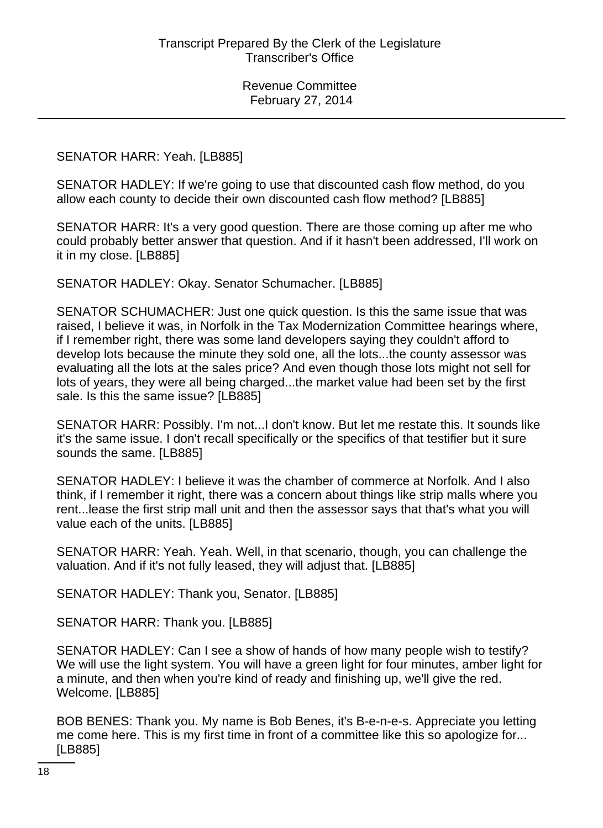#### SENATOR HARR: Yeah. [LB885]

SENATOR HADLEY: If we're going to use that discounted cash flow method, do you allow each county to decide their own discounted cash flow method? [LB885]

SENATOR HARR: It's a very good question. There are those coming up after me who could probably better answer that question. And if it hasn't been addressed, I'll work on it in my close. [LB885]

SENATOR HADLEY: Okay. Senator Schumacher. [LB885]

SENATOR SCHUMACHER: Just one quick question. Is this the same issue that was raised, I believe it was, in Norfolk in the Tax Modernization Committee hearings where, if I remember right, there was some land developers saying they couldn't afford to develop lots because the minute they sold one, all the lots...the county assessor was evaluating all the lots at the sales price? And even though those lots might not sell for lots of years, they were all being charged...the market value had been set by the first sale. Is this the same issue? [LB885]

SENATOR HARR: Possibly. I'm not...I don't know. But let me restate this. It sounds like it's the same issue. I don't recall specifically or the specifics of that testifier but it sure sounds the same. [LB885]

SENATOR HADLEY: I believe it was the chamber of commerce at Norfolk. And I also think, if I remember it right, there was a concern about things like strip malls where you rent...lease the first strip mall unit and then the assessor says that that's what you will value each of the units. [LB885]

SENATOR HARR: Yeah. Yeah. Well, in that scenario, though, you can challenge the valuation. And if it's not fully leased, they will adjust that. [LB885]

SENATOR HADLEY: Thank you, Senator. [LB885]

SENATOR HARR: Thank you. [LB885]

SENATOR HADLEY: Can I see a show of hands of how many people wish to testify? We will use the light system. You will have a green light for four minutes, amber light for a minute, and then when you're kind of ready and finishing up, we'll give the red. Welcome. [LB885]

BOB BENES: Thank you. My name is Bob Benes, it's B-e-n-e-s. Appreciate you letting me come here. This is my first time in front of a committee like this so apologize for... [LB885]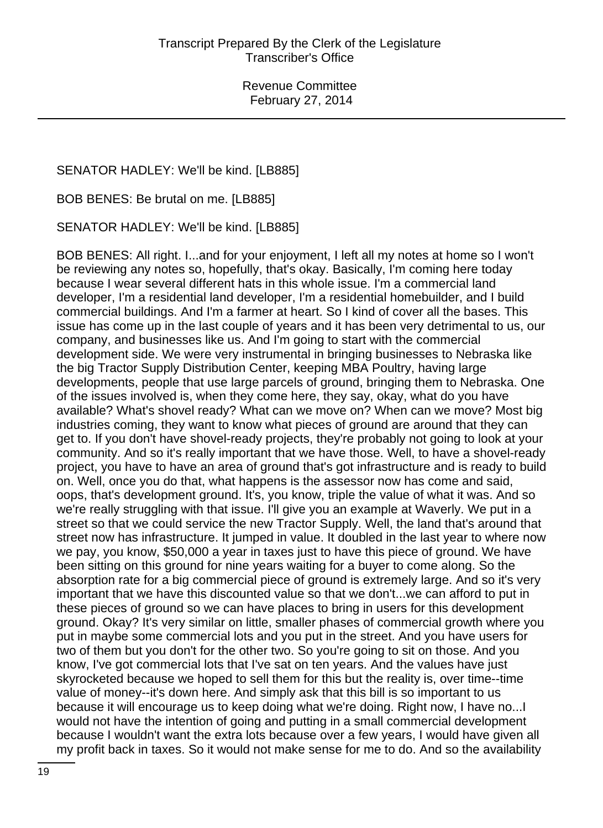SENATOR HADLEY: We'll be kind. [LB885]

BOB BENES: Be brutal on me. [LB885]

SENATOR HADLEY: We'll be kind. [LB885]

BOB BENES: All right. I...and for your enjoyment, I left all my notes at home so I won't be reviewing any notes so, hopefully, that's okay. Basically, I'm coming here today because I wear several different hats in this whole issue. I'm a commercial land developer, I'm a residential land developer, I'm a residential homebuilder, and I build commercial buildings. And I'm a farmer at heart. So I kind of cover all the bases. This issue has come up in the last couple of years and it has been very detrimental to us, our company, and businesses like us. And I'm going to start with the commercial development side. We were very instrumental in bringing businesses to Nebraska like the big Tractor Supply Distribution Center, keeping MBA Poultry, having large developments, people that use large parcels of ground, bringing them to Nebraska. One of the issues involved is, when they come here, they say, okay, what do you have available? What's shovel ready? What can we move on? When can we move? Most big industries coming, they want to know what pieces of ground are around that they can get to. If you don't have shovel-ready projects, they're probably not going to look at your community. And so it's really important that we have those. Well, to have a shovel-ready project, you have to have an area of ground that's got infrastructure and is ready to build on. Well, once you do that, what happens is the assessor now has come and said, oops, that's development ground. It's, you know, triple the value of what it was. And so we're really struggling with that issue. I'll give you an example at Waverly. We put in a street so that we could service the new Tractor Supply. Well, the land that's around that street now has infrastructure. It jumped in value. It doubled in the last year to where now we pay, you know, \$50,000 a year in taxes just to have this piece of ground. We have been sitting on this ground for nine years waiting for a buyer to come along. So the absorption rate for a big commercial piece of ground is extremely large. And so it's very important that we have this discounted value so that we don't...we can afford to put in these pieces of ground so we can have places to bring in users for this development ground. Okay? It's very similar on little, smaller phases of commercial growth where you put in maybe some commercial lots and you put in the street. And you have users for two of them but you don't for the other two. So you're going to sit on those. And you know, I've got commercial lots that I've sat on ten years. And the values have just skyrocketed because we hoped to sell them for this but the reality is, over time--time value of money--it's down here. And simply ask that this bill is so important to us because it will encourage us to keep doing what we're doing. Right now, I have no...I would not have the intention of going and putting in a small commercial development because I wouldn't want the extra lots because over a few years, I would have given all my profit back in taxes. So it would not make sense for me to do. And so the availability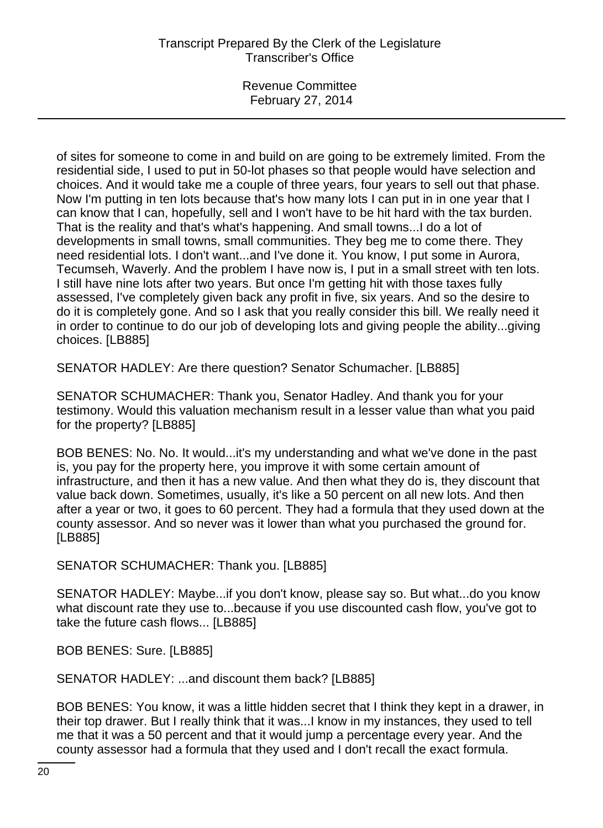of sites for someone to come in and build on are going to be extremely limited. From the residential side, I used to put in 50-lot phases so that people would have selection and choices. And it would take me a couple of three years, four years to sell out that phase. Now I'm putting in ten lots because that's how many lots I can put in in one year that I can know that I can, hopefully, sell and I won't have to be hit hard with the tax burden. That is the reality and that's what's happening. And small towns...I do a lot of developments in small towns, small communities. They beg me to come there. They need residential lots. I don't want...and I've done it. You know, I put some in Aurora, Tecumseh, Waverly. And the problem I have now is, I put in a small street with ten lots. I still have nine lots after two years. But once I'm getting hit with those taxes fully assessed, I've completely given back any profit in five, six years. And so the desire to do it is completely gone. And so I ask that you really consider this bill. We really need it in order to continue to do our job of developing lots and giving people the ability...giving choices. [LB885]

SENATOR HADLEY: Are there question? Senator Schumacher. [LB885]

SENATOR SCHUMACHER: Thank you, Senator Hadley. And thank you for your testimony. Would this valuation mechanism result in a lesser value than what you paid for the property? [LB885]

BOB BENES: No. No. It would...it's my understanding and what we've done in the past is, you pay for the property here, you improve it with some certain amount of infrastructure, and then it has a new value. And then what they do is, they discount that value back down. Sometimes, usually, it's like a 50 percent on all new lots. And then after a year or two, it goes to 60 percent. They had a formula that they used down at the county assessor. And so never was it lower than what you purchased the ground for. [LB885]

SENATOR SCHUMACHER: Thank you. [LB885]

SENATOR HADLEY: Maybe...if you don't know, please say so. But what...do you know what discount rate they use to...because if you use discounted cash flow, you've got to take the future cash flows... [LB885]

BOB BENES: Sure. [LB885]

SENATOR HADLEY: ...and discount them back? [LB885]

BOB BENES: You know, it was a little hidden secret that I think they kept in a drawer, in their top drawer. But I really think that it was...I know in my instances, they used to tell me that it was a 50 percent and that it would jump a percentage every year. And the county assessor had a formula that they used and I don't recall the exact formula.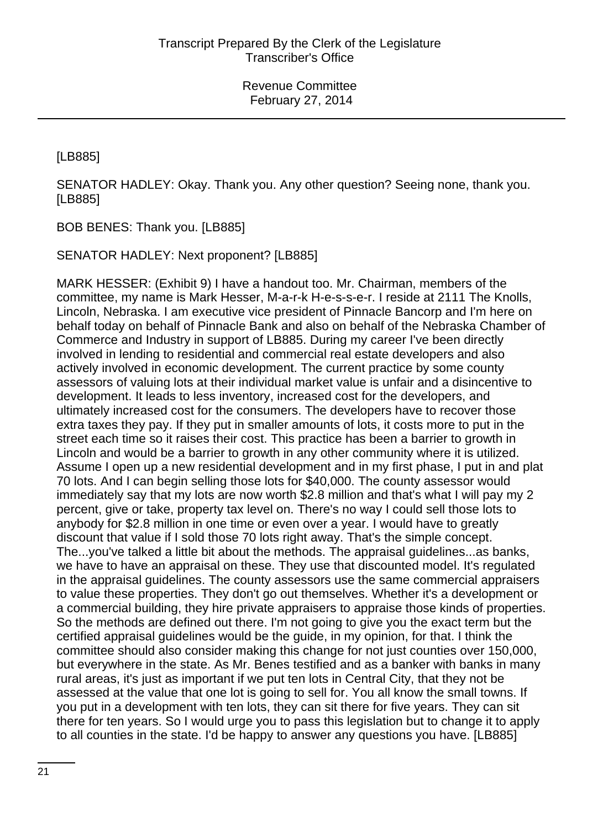[LB885]

SENATOR HADLEY: Okay. Thank you. Any other question? Seeing none, thank you. [LB885]

BOB BENES: Thank you. [LB885]

SENATOR HADLEY: Next proponent? [LB885]

MARK HESSER: (Exhibit 9) I have a handout too. Mr. Chairman, members of the committee, my name is Mark Hesser, M-a-r-k H-e-s-s-e-r. I reside at 2111 The Knolls, Lincoln, Nebraska. I am executive vice president of Pinnacle Bancorp and I'm here on behalf today on behalf of Pinnacle Bank and also on behalf of the Nebraska Chamber of Commerce and Industry in support of LB885. During my career I've been directly involved in lending to residential and commercial real estate developers and also actively involved in economic development. The current practice by some county assessors of valuing lots at their individual market value is unfair and a disincentive to development. It leads to less inventory, increased cost for the developers, and ultimately increased cost for the consumers. The developers have to recover those extra taxes they pay. If they put in smaller amounts of lots, it costs more to put in the street each time so it raises their cost. This practice has been a barrier to growth in Lincoln and would be a barrier to growth in any other community where it is utilized. Assume I open up a new residential development and in my first phase, I put in and plat 70 lots. And I can begin selling those lots for \$40,000. The county assessor would immediately say that my lots are now worth \$2.8 million and that's what I will pay my 2 percent, give or take, property tax level on. There's no way I could sell those lots to anybody for \$2.8 million in one time or even over a year. I would have to greatly discount that value if I sold those 70 lots right away. That's the simple concept. The...you've talked a little bit about the methods. The appraisal guidelines...as banks, we have to have an appraisal on these. They use that discounted model. It's regulated in the appraisal guidelines. The county assessors use the same commercial appraisers to value these properties. They don't go out themselves. Whether it's a development or a commercial building, they hire private appraisers to appraise those kinds of properties. So the methods are defined out there. I'm not going to give you the exact term but the certified appraisal guidelines would be the guide, in my opinion, for that. I think the committee should also consider making this change for not just counties over 150,000, but everywhere in the state. As Mr. Benes testified and as a banker with banks in many rural areas, it's just as important if we put ten lots in Central City, that they not be assessed at the value that one lot is going to sell for. You all know the small towns. If you put in a development with ten lots, they can sit there for five years. They can sit there for ten years. So I would urge you to pass this legislation but to change it to apply to all counties in the state. I'd be happy to answer any questions you have. [LB885]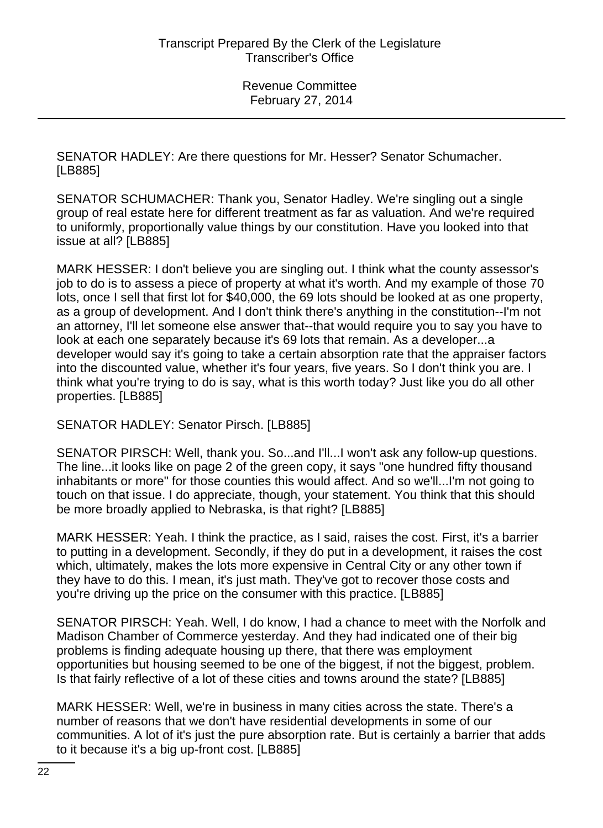SENATOR HADLEY: Are there questions for Mr. Hesser? Senator Schumacher. [LB885]

SENATOR SCHUMACHER: Thank you, Senator Hadley. We're singling out a single group of real estate here for different treatment as far as valuation. And we're required to uniformly, proportionally value things by our constitution. Have you looked into that issue at all? [LB885]

MARK HESSER: I don't believe you are singling out. I think what the county assessor's job to do is to assess a piece of property at what it's worth. And my example of those 70 lots, once I sell that first lot for \$40,000, the 69 lots should be looked at as one property, as a group of development. And I don't think there's anything in the constitution--I'm not an attorney, I'll let someone else answer that--that would require you to say you have to look at each one separately because it's 69 lots that remain. As a developer...a developer would say it's going to take a certain absorption rate that the appraiser factors into the discounted value, whether it's four years, five years. So I don't think you are. I think what you're trying to do is say, what is this worth today? Just like you do all other properties. [LB885]

SENATOR HADLEY: Senator Pirsch. [LB885]

SENATOR PIRSCH: Well, thank you. So...and I'll...I won't ask any follow-up questions. The line...it looks like on page 2 of the green copy, it says "one hundred fifty thousand inhabitants or more" for those counties this would affect. And so we'll...I'm not going to touch on that issue. I do appreciate, though, your statement. You think that this should be more broadly applied to Nebraska, is that right? [LB885]

MARK HESSER: Yeah. I think the practice, as I said, raises the cost. First, it's a barrier to putting in a development. Secondly, if they do put in a development, it raises the cost which, ultimately, makes the lots more expensive in Central City or any other town if they have to do this. I mean, it's just math. They've got to recover those costs and you're driving up the price on the consumer with this practice. [LB885]

SENATOR PIRSCH: Yeah. Well, I do know, I had a chance to meet with the Norfolk and Madison Chamber of Commerce yesterday. And they had indicated one of their big problems is finding adequate housing up there, that there was employment opportunities but housing seemed to be one of the biggest, if not the biggest, problem. Is that fairly reflective of a lot of these cities and towns around the state? [LB885]

MARK HESSER: Well, we're in business in many cities across the state. There's a number of reasons that we don't have residential developments in some of our communities. A lot of it's just the pure absorption rate. But is certainly a barrier that adds to it because it's a big up-front cost. [LB885]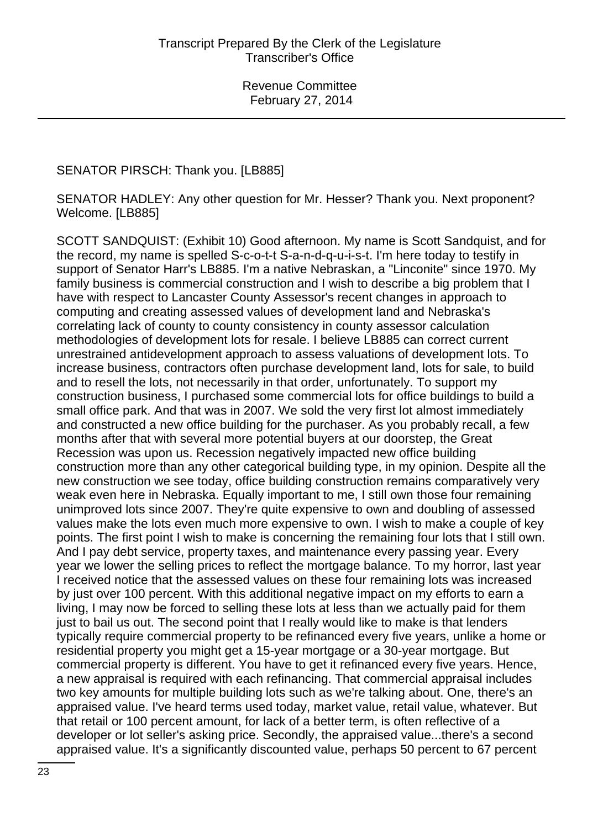### SENATOR PIRSCH: Thank you. [LB885]

SENATOR HADLEY: Any other question for Mr. Hesser? Thank you. Next proponent? Welcome. [LB885]

SCOTT SANDQUIST: (Exhibit 10) Good afternoon. My name is Scott Sandquist, and for the record, my name is spelled S-c-o-t-t S-a-n-d-q-u-i-s-t. I'm here today to testify in support of Senator Harr's LB885. I'm a native Nebraskan, a "Linconite" since 1970. My family business is commercial construction and I wish to describe a big problem that I have with respect to Lancaster County Assessor's recent changes in approach to computing and creating assessed values of development land and Nebraska's correlating lack of county to county consistency in county assessor calculation methodologies of development lots for resale. I believe LB885 can correct current unrestrained antidevelopment approach to assess valuations of development lots. To increase business, contractors often purchase development land, lots for sale, to build and to resell the lots, not necessarily in that order, unfortunately. To support my construction business, I purchased some commercial lots for office buildings to build a small office park. And that was in 2007. We sold the very first lot almost immediately and constructed a new office building for the purchaser. As you probably recall, a few months after that with several more potential buyers at our doorstep, the Great Recession was upon us. Recession negatively impacted new office building construction more than any other categorical building type, in my opinion. Despite all the new construction we see today, office building construction remains comparatively very weak even here in Nebraska. Equally important to me, I still own those four remaining unimproved lots since 2007. They're quite expensive to own and doubling of assessed values make the lots even much more expensive to own. I wish to make a couple of key points. The first point I wish to make is concerning the remaining four lots that I still own. And I pay debt service, property taxes, and maintenance every passing year. Every year we lower the selling prices to reflect the mortgage balance. To my horror, last year I received notice that the assessed values on these four remaining lots was increased by just over 100 percent. With this additional negative impact on my efforts to earn a living, I may now be forced to selling these lots at less than we actually paid for them just to bail us out. The second point that I really would like to make is that lenders typically require commercial property to be refinanced every five years, unlike a home or residential property you might get a 15-year mortgage or a 30-year mortgage. But commercial property is different. You have to get it refinanced every five years. Hence, a new appraisal is required with each refinancing. That commercial appraisal includes two key amounts for multiple building lots such as we're talking about. One, there's an appraised value. I've heard terms used today, market value, retail value, whatever. But that retail or 100 percent amount, for lack of a better term, is often reflective of a developer or lot seller's asking price. Secondly, the appraised value...there's a second appraised value. It's a significantly discounted value, perhaps 50 percent to 67 percent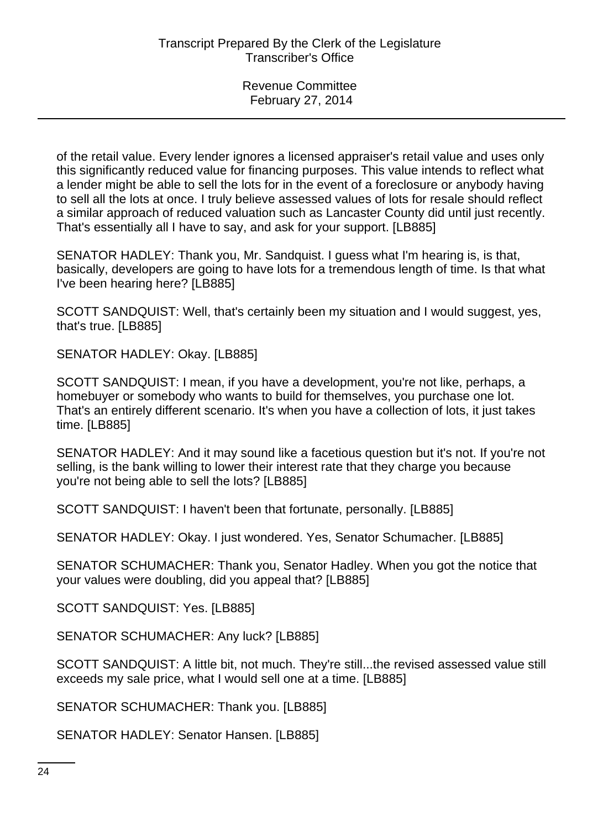of the retail value. Every lender ignores a licensed appraiser's retail value and uses only this significantly reduced value for financing purposes. This value intends to reflect what a lender might be able to sell the lots for in the event of a foreclosure or anybody having to sell all the lots at once. I truly believe assessed values of lots for resale should reflect a similar approach of reduced valuation such as Lancaster County did until just recently. That's essentially all I have to say, and ask for your support. [LB885]

SENATOR HADLEY: Thank you, Mr. Sandquist. I guess what I'm hearing is, is that, basically, developers are going to have lots for a tremendous length of time. Is that what I've been hearing here? [LB885]

SCOTT SANDQUIST: Well, that's certainly been my situation and I would suggest, yes, that's true. [LB885]

SENATOR HADLEY: Okay. [LB885]

SCOTT SANDQUIST: I mean, if you have a development, you're not like, perhaps, a homebuyer or somebody who wants to build for themselves, you purchase one lot. That's an entirely different scenario. It's when you have a collection of lots, it just takes time. [LB885]

SENATOR HADLEY: And it may sound like a facetious question but it's not. If you're not selling, is the bank willing to lower their interest rate that they charge you because you're not being able to sell the lots? [LB885]

SCOTT SANDQUIST: I haven't been that fortunate, personally. [LB885]

SENATOR HADLEY: Okay. I just wondered. Yes, Senator Schumacher. [LB885]

SENATOR SCHUMACHER: Thank you, Senator Hadley. When you got the notice that your values were doubling, did you appeal that? [LB885]

SCOTT SANDQUIST: Yes. [LB885]

SENATOR SCHUMACHER: Any luck? [LB885]

SCOTT SANDQUIST: A little bit, not much. They're still...the revised assessed value still exceeds my sale price, what I would sell one at a time. [LB885]

SENATOR SCHUMACHER: Thank you. [LB885]

SENATOR HADLEY: Senator Hansen. [LB885]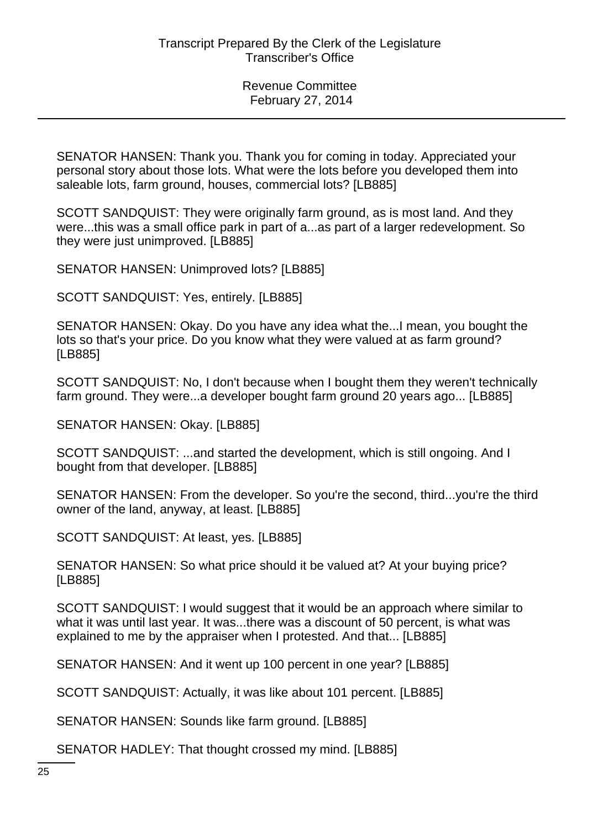SENATOR HANSEN: Thank you. Thank you for coming in today. Appreciated your personal story about those lots. What were the lots before you developed them into saleable lots, farm ground, houses, commercial lots? [LB885]

SCOTT SANDQUIST: They were originally farm ground, as is most land. And they were...this was a small office park in part of a...as part of a larger redevelopment. So they were just unimproved. [LB885]

SENATOR HANSEN: Unimproved lots? [LB885]

SCOTT SANDQUIST: Yes, entirely. [LB885]

SENATOR HANSEN: Okay. Do you have any idea what the...I mean, you bought the lots so that's your price. Do you know what they were valued at as farm ground? [LB885]

SCOTT SANDQUIST: No, I don't because when I bought them they weren't technically farm ground. They were...a developer bought farm ground 20 years ago... [LB885]

SENATOR HANSEN: Okay. [LB885]

SCOTT SANDQUIST: ...and started the development, which is still ongoing. And I bought from that developer. [LB885]

SENATOR HANSEN: From the developer. So you're the second, third...you're the third owner of the land, anyway, at least. [LB885]

SCOTT SANDQUIST: At least, yes. [LB885]

SENATOR HANSEN: So what price should it be valued at? At your buying price? [LB885]

SCOTT SANDQUIST: I would suggest that it would be an approach where similar to what it was until last year. It was...there was a discount of 50 percent, is what was explained to me by the appraiser when I protested. And that... [LB885]

SENATOR HANSEN: And it went up 100 percent in one year? [LB885]

SCOTT SANDQUIST: Actually, it was like about 101 percent. [LB885]

SENATOR HANSEN: Sounds like farm ground. [LB885]

SENATOR HADLEY: That thought crossed my mind. [LB885]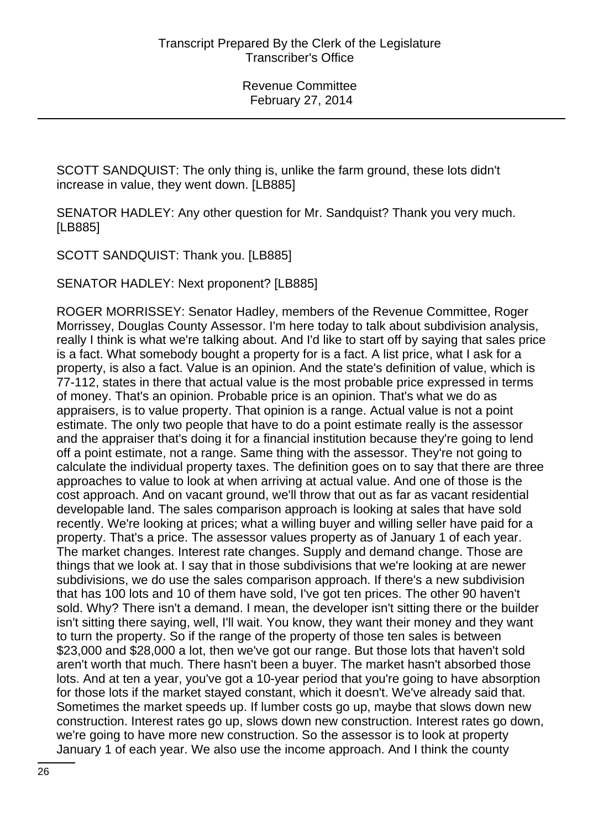SCOTT SANDQUIST: The only thing is, unlike the farm ground, these lots didn't increase in value, they went down. [LB885]

SENATOR HADLEY: Any other question for Mr. Sandquist? Thank you very much. [LB885]

SCOTT SANDQUIST: Thank you. [LB885]

SENATOR HADLEY: Next proponent? [LB885]

ROGER MORRISSEY: Senator Hadley, members of the Revenue Committee, Roger Morrissey, Douglas County Assessor. I'm here today to talk about subdivision analysis, really I think is what we're talking about. And I'd like to start off by saying that sales price is a fact. What somebody bought a property for is a fact. A list price, what I ask for a property, is also a fact. Value is an opinion. And the state's definition of value, which is 77-112, states in there that actual value is the most probable price expressed in terms of money. That's an opinion. Probable price is an opinion. That's what we do as appraisers, is to value property. That opinion is a range. Actual value is not a point estimate. The only two people that have to do a point estimate really is the assessor and the appraiser that's doing it for a financial institution because they're going to lend off a point estimate, not a range. Same thing with the assessor. They're not going to calculate the individual property taxes. The definition goes on to say that there are three approaches to value to look at when arriving at actual value. And one of those is the cost approach. And on vacant ground, we'll throw that out as far as vacant residential developable land. The sales comparison approach is looking at sales that have sold recently. We're looking at prices; what a willing buyer and willing seller have paid for a property. That's a price. The assessor values property as of January 1 of each year. The market changes. Interest rate changes. Supply and demand change. Those are things that we look at. I say that in those subdivisions that we're looking at are newer subdivisions, we do use the sales comparison approach. If there's a new subdivision that has 100 lots and 10 of them have sold, I've got ten prices. The other 90 haven't sold. Why? There isn't a demand. I mean, the developer isn't sitting there or the builder isn't sitting there saying, well, I'll wait. You know, they want their money and they want to turn the property. So if the range of the property of those ten sales is between \$23,000 and \$28,000 a lot, then we've got our range. But those lots that haven't sold aren't worth that much. There hasn't been a buyer. The market hasn't absorbed those lots. And at ten a year, you've got a 10-year period that you're going to have absorption for those lots if the market stayed constant, which it doesn't. We've already said that. Sometimes the market speeds up. If lumber costs go up, maybe that slows down new construction. Interest rates go up, slows down new construction. Interest rates go down, we're going to have more new construction. So the assessor is to look at property January 1 of each year. We also use the income approach. And I think the county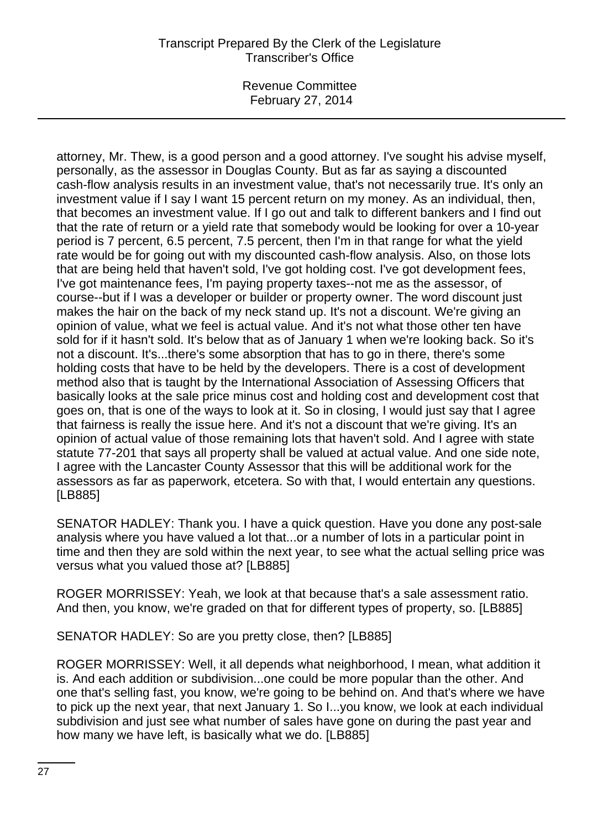Revenue Committee February 27, 2014

attorney, Mr. Thew, is a good person and a good attorney. I've sought his advise myself, personally, as the assessor in Douglas County. But as far as saying a discounted cash-flow analysis results in an investment value, that's not necessarily true. It's only an investment value if I say I want 15 percent return on my money. As an individual, then, that becomes an investment value. If I go out and talk to different bankers and I find out that the rate of return or a yield rate that somebody would be looking for over a 10-year period is 7 percent, 6.5 percent, 7.5 percent, then I'm in that range for what the yield rate would be for going out with my discounted cash-flow analysis. Also, on those lots that are being held that haven't sold, I've got holding cost. I've got development fees, I've got maintenance fees, I'm paying property taxes--not me as the assessor, of course--but if I was a developer or builder or property owner. The word discount just makes the hair on the back of my neck stand up. It's not a discount. We're giving an opinion of value, what we feel is actual value. And it's not what those other ten have sold for if it hasn't sold. It's below that as of January 1 when we're looking back. So it's not a discount. It's...there's some absorption that has to go in there, there's some holding costs that have to be held by the developers. There is a cost of development method also that is taught by the International Association of Assessing Officers that basically looks at the sale price minus cost and holding cost and development cost that goes on, that is one of the ways to look at it. So in closing, I would just say that I agree that fairness is really the issue here. And it's not a discount that we're giving. It's an opinion of actual value of those remaining lots that haven't sold. And I agree with state statute 77-201 that says all property shall be valued at actual value. And one side note, I agree with the Lancaster County Assessor that this will be additional work for the assessors as far as paperwork, etcetera. So with that, I would entertain any questions. [LB885]

SENATOR HADLEY: Thank you. I have a quick question. Have you done any post-sale analysis where you have valued a lot that...or a number of lots in a particular point in time and then they are sold within the next year, to see what the actual selling price was versus what you valued those at? [LB885]

ROGER MORRISSEY: Yeah, we look at that because that's a sale assessment ratio. And then, you know, we're graded on that for different types of property, so. [LB885]

SENATOR HADLEY: So are you pretty close, then? [LB885]

ROGER MORRISSEY: Well, it all depends what neighborhood, I mean, what addition it is. And each addition or subdivision...one could be more popular than the other. And one that's selling fast, you know, we're going to be behind on. And that's where we have to pick up the next year, that next January 1. So I...you know, we look at each individual subdivision and just see what number of sales have gone on during the past year and how many we have left, is basically what we do. [LB885]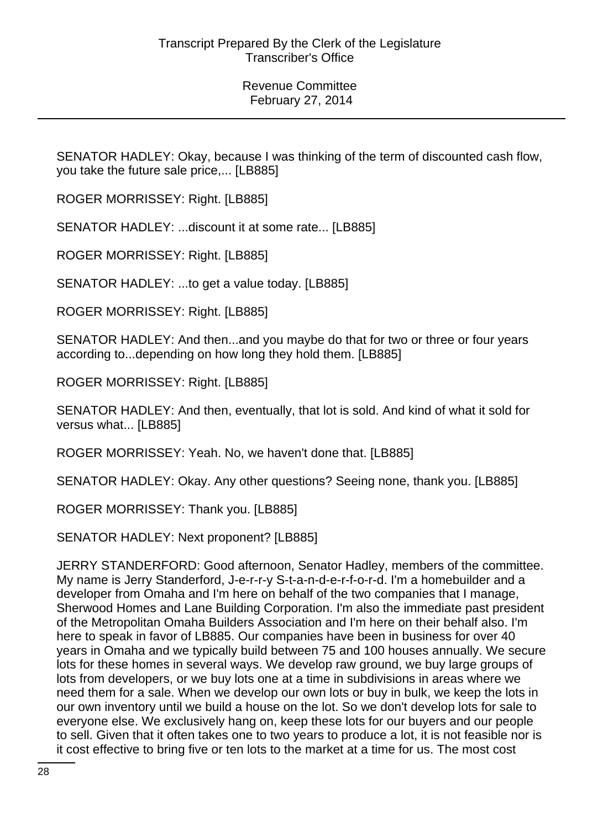SENATOR HADLEY: Okay, because I was thinking of the term of discounted cash flow, you take the future sale price,... [LB885]

ROGER MORRISSEY: Right. [LB885]

SENATOR HADLEY: ...discount it at some rate... [LB885]

ROGER MORRISSEY: Right. [LB885]

SENATOR HADLEY: ...to get a value today. [LB885]

ROGER MORRISSEY: Right. [LB885]

SENATOR HADLEY: And then...and you maybe do that for two or three or four years according to...depending on how long they hold them. [LB885]

ROGER MORRISSEY: Right. [LB885]

SENATOR HADLEY: And then, eventually, that lot is sold. And kind of what it sold for versus what... [LB885]

ROGER MORRISSEY: Yeah. No, we haven't done that. [LB885]

SENATOR HADLEY: Okay. Any other questions? Seeing none, thank you. [LB885]

ROGER MORRISSEY: Thank you. [LB885]

SENATOR HADLEY: Next proponent? [LB885]

JERRY STANDERFORD: Good afternoon, Senator Hadley, members of the committee. My name is Jerry Standerford, J-e-r-r-y S-t-a-n-d-e-r-f-o-r-d. I'm a homebuilder and a developer from Omaha and I'm here on behalf of the two companies that I manage, Sherwood Homes and Lane Building Corporation. I'm also the immediate past president of the Metropolitan Omaha Builders Association and I'm here on their behalf also. I'm here to speak in favor of LB885. Our companies have been in business for over 40 years in Omaha and we typically build between 75 and 100 houses annually. We secure lots for these homes in several ways. We develop raw ground, we buy large groups of lots from developers, or we buy lots one at a time in subdivisions in areas where we need them for a sale. When we develop our own lots or buy in bulk, we keep the lots in our own inventory until we build a house on the lot. So we don't develop lots for sale to everyone else. We exclusively hang on, keep these lots for our buyers and our people to sell. Given that it often takes one to two years to produce a lot, it is not feasible nor is it cost effective to bring five or ten lots to the market at a time for us. The most cost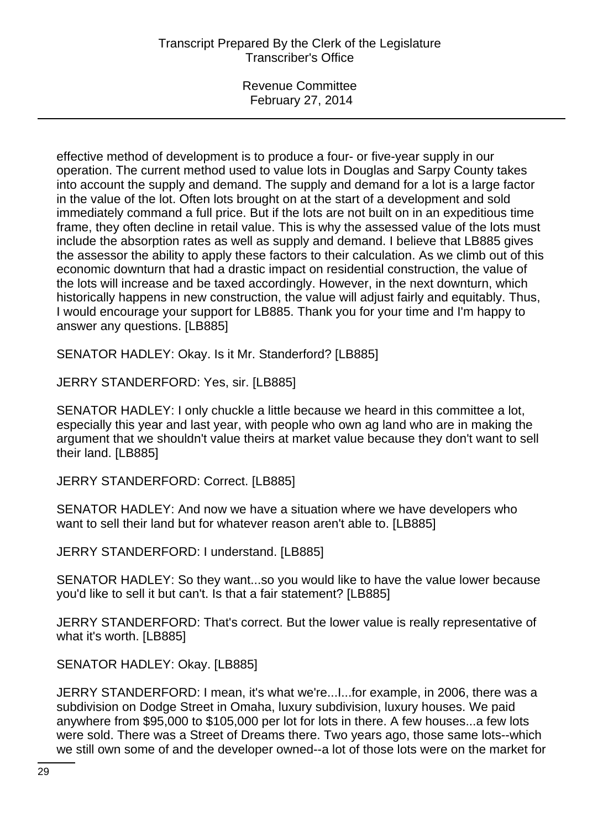effective method of development is to produce a four- or five-year supply in our operation. The current method used to value lots in Douglas and Sarpy County takes into account the supply and demand. The supply and demand for a lot is a large factor in the value of the lot. Often lots brought on at the start of a development and sold immediately command a full price. But if the lots are not built on in an expeditious time frame, they often decline in retail value. This is why the assessed value of the lots must include the absorption rates as well as supply and demand. I believe that LB885 gives the assessor the ability to apply these factors to their calculation. As we climb out of this economic downturn that had a drastic impact on residential construction, the value of the lots will increase and be taxed accordingly. However, in the next downturn, which historically happens in new construction, the value will adjust fairly and equitably. Thus, I would encourage your support for LB885. Thank you for your time and I'm happy to answer any questions. [LB885]

SENATOR HADLEY: Okay. Is it Mr. Standerford? [LB885]

JERRY STANDERFORD: Yes, sir. [LB885]

SENATOR HADLEY: I only chuckle a little because we heard in this committee a lot, especially this year and last year, with people who own ag land who are in making the argument that we shouldn't value theirs at market value because they don't want to sell their land. [LB885]

JERRY STANDERFORD: Correct. [LB885]

SENATOR HADLEY: And now we have a situation where we have developers who want to sell their land but for whatever reason aren't able to. [LB885]

JERRY STANDERFORD: I understand. [LB885]

SENATOR HADLEY: So they want...so you would like to have the value lower because you'd like to sell it but can't. Is that a fair statement? [LB885]

JERRY STANDERFORD: That's correct. But the lower value is really representative of what it's worth. [LB885]

SENATOR HADLEY: Okay. [LB885]

JERRY STANDERFORD: I mean, it's what we're...I...for example, in 2006, there was a subdivision on Dodge Street in Omaha, luxury subdivision, luxury houses. We paid anywhere from \$95,000 to \$105,000 per lot for lots in there. A few houses...a few lots were sold. There was a Street of Dreams there. Two years ago, those same lots--which we still own some of and the developer owned--a lot of those lots were on the market for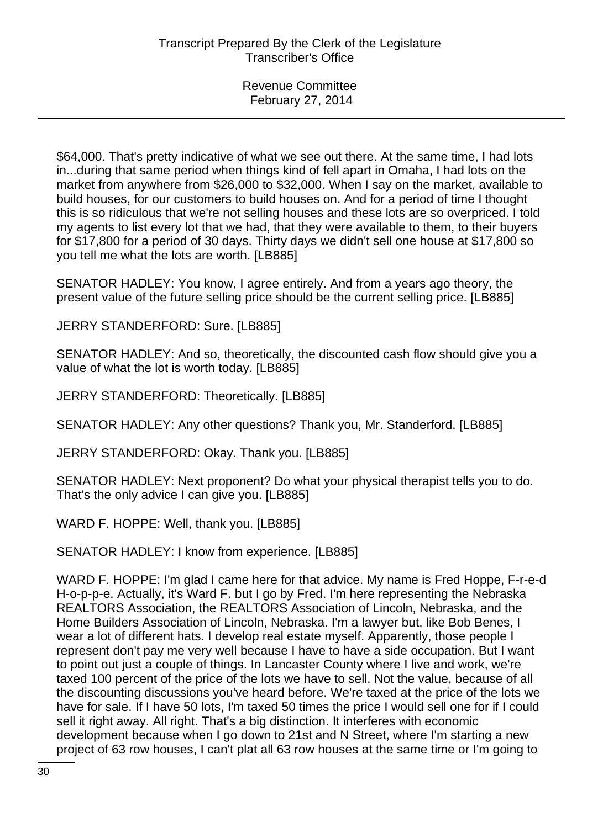\$64,000. That's pretty indicative of what we see out there. At the same time, I had lots in...during that same period when things kind of fell apart in Omaha, I had lots on the market from anywhere from \$26,000 to \$32,000. When I say on the market, available to build houses, for our customers to build houses on. And for a period of time I thought this is so ridiculous that we're not selling houses and these lots are so overpriced. I told my agents to list every lot that we had, that they were available to them, to their buyers for \$17,800 for a period of 30 days. Thirty days we didn't sell one house at \$17,800 so you tell me what the lots are worth. [LB885]

SENATOR HADLEY: You know, I agree entirely. And from a years ago theory, the present value of the future selling price should be the current selling price. [LB885]

JERRY STANDERFORD: Sure. [LB885]

SENATOR HADLEY: And so, theoretically, the discounted cash flow should give you a value of what the lot is worth today. [LB885]

JERRY STANDERFORD: Theoretically. [LB885]

SENATOR HADLEY: Any other questions? Thank you, Mr. Standerford. [LB885]

JERRY STANDERFORD: Okay. Thank you. [LB885]

SENATOR HADLEY: Next proponent? Do what your physical therapist tells you to do. That's the only advice I can give you. [LB885]

WARD F. HOPPE: Well, thank you. [LB885]

SENATOR HADLEY: I know from experience. [LB885]

WARD F. HOPPE: I'm glad I came here for that advice. My name is Fred Hoppe, F-r-e-d H-o-p-p-e. Actually, it's Ward F. but I go by Fred. I'm here representing the Nebraska REALTORS Association, the REALTORS Association of Lincoln, Nebraska, and the Home Builders Association of Lincoln, Nebraska. I'm a lawyer but, like Bob Benes, I wear a lot of different hats. I develop real estate myself. Apparently, those people I represent don't pay me very well because I have to have a side occupation. But I want to point out just a couple of things. In Lancaster County where I live and work, we're taxed 100 percent of the price of the lots we have to sell. Not the value, because of all the discounting discussions you've heard before. We're taxed at the price of the lots we have for sale. If I have 50 lots, I'm taxed 50 times the price I would sell one for if I could sell it right away. All right. That's a big distinction. It interferes with economic development because when I go down to 21st and N Street, where I'm starting a new project of 63 row houses, I can't plat all 63 row houses at the same time or I'm going to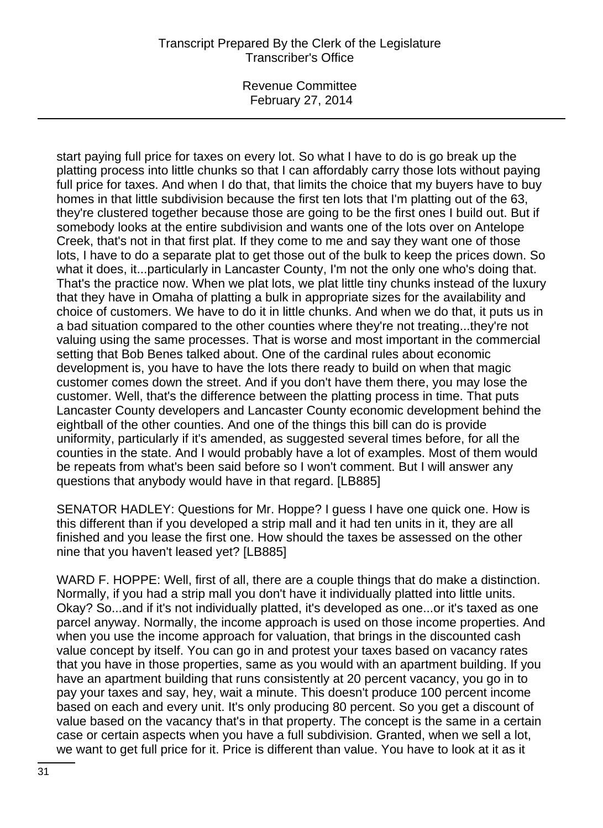Revenue Committee February 27, 2014

start paying full price for taxes on every lot. So what I have to do is go break up the platting process into little chunks so that I can affordably carry those lots without paying full price for taxes. And when I do that, that limits the choice that my buyers have to buy homes in that little subdivision because the first ten lots that I'm platting out of the 63, they're clustered together because those are going to be the first ones I build out. But if somebody looks at the entire subdivision and wants one of the lots over on Antelope Creek, that's not in that first plat. If they come to me and say they want one of those lots, I have to do a separate plat to get those out of the bulk to keep the prices down. So what it does, it...particularly in Lancaster County, I'm not the only one who's doing that. That's the practice now. When we plat lots, we plat little tiny chunks instead of the luxury that they have in Omaha of platting a bulk in appropriate sizes for the availability and choice of customers. We have to do it in little chunks. And when we do that, it puts us in a bad situation compared to the other counties where they're not treating...they're not valuing using the same processes. That is worse and most important in the commercial setting that Bob Benes talked about. One of the cardinal rules about economic development is, you have to have the lots there ready to build on when that magic customer comes down the street. And if you don't have them there, you may lose the customer. Well, that's the difference between the platting process in time. That puts Lancaster County developers and Lancaster County economic development behind the eightball of the other counties. And one of the things this bill can do is provide uniformity, particularly if it's amended, as suggested several times before, for all the counties in the state. And I would probably have a lot of examples. Most of them would be repeats from what's been said before so I won't comment. But I will answer any questions that anybody would have in that regard. [LB885]

SENATOR HADLEY: Questions for Mr. Hoppe? I guess I have one quick one. How is this different than if you developed a strip mall and it had ten units in it, they are all finished and you lease the first one. How should the taxes be assessed on the other nine that you haven't leased yet? [LB885]

WARD F. HOPPE: Well, first of all, there are a couple things that do make a distinction. Normally, if you had a strip mall you don't have it individually platted into little units. Okay? So...and if it's not individually platted, it's developed as one...or it's taxed as one parcel anyway. Normally, the income approach is used on those income properties. And when you use the income approach for valuation, that brings in the discounted cash value concept by itself. You can go in and protest your taxes based on vacancy rates that you have in those properties, same as you would with an apartment building. If you have an apartment building that runs consistently at 20 percent vacancy, you go in to pay your taxes and say, hey, wait a minute. This doesn't produce 100 percent income based on each and every unit. It's only producing 80 percent. So you get a discount of value based on the vacancy that's in that property. The concept is the same in a certain case or certain aspects when you have a full subdivision. Granted, when we sell a lot, we want to get full price for it. Price is different than value. You have to look at it as it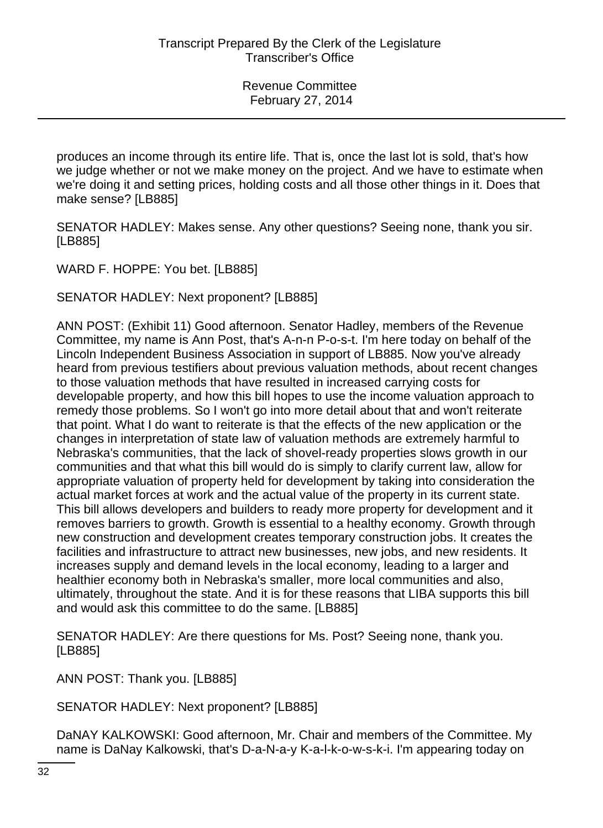produces an income through its entire life. That is, once the last lot is sold, that's how we judge whether or not we make money on the project. And we have to estimate when we're doing it and setting prices, holding costs and all those other things in it. Does that make sense? [LB885]

SENATOR HADLEY: Makes sense. Any other questions? Seeing none, thank you sir. [LB885]

WARD F. HOPPE: You bet. [LB885]

SENATOR HADLEY: Next proponent? [LB885]

ANN POST: (Exhibit 11) Good afternoon. Senator Hadley, members of the Revenue Committee, my name is Ann Post, that's A-n-n P-o-s-t. I'm here today on behalf of the Lincoln Independent Business Association in support of LB885. Now you've already heard from previous testifiers about previous valuation methods, about recent changes to those valuation methods that have resulted in increased carrying costs for developable property, and how this bill hopes to use the income valuation approach to remedy those problems. So I won't go into more detail about that and won't reiterate that point. What I do want to reiterate is that the effects of the new application or the changes in interpretation of state law of valuation methods are extremely harmful to Nebraska's communities, that the lack of shovel-ready properties slows growth in our communities and that what this bill would do is simply to clarify current law, allow for appropriate valuation of property held for development by taking into consideration the actual market forces at work and the actual value of the property in its current state. This bill allows developers and builders to ready more property for development and it removes barriers to growth. Growth is essential to a healthy economy. Growth through new construction and development creates temporary construction jobs. It creates the facilities and infrastructure to attract new businesses, new jobs, and new residents. It increases supply and demand levels in the local economy, leading to a larger and healthier economy both in Nebraska's smaller, more local communities and also, ultimately, throughout the state. And it is for these reasons that LIBA supports this bill and would ask this committee to do the same. [LB885]

SENATOR HADLEY: Are there questions for Ms. Post? Seeing none, thank you. [LB885]

ANN POST: Thank you. [LB885]

SENATOR HADLEY: Next proponent? [LB885]

DaNAY KALKOWSKI: Good afternoon, Mr. Chair and members of the Committee. My name is DaNay Kalkowski, that's D-a-N-a-y K-a-l-k-o-w-s-k-i. I'm appearing today on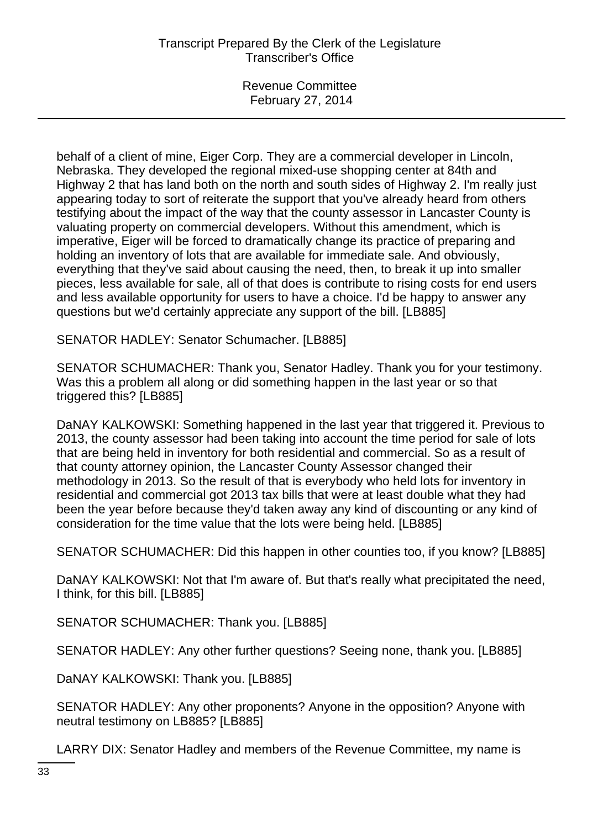behalf of a client of mine, Eiger Corp. They are a commercial developer in Lincoln, Nebraska. They developed the regional mixed-use shopping center at 84th and Highway 2 that has land both on the north and south sides of Highway 2. I'm really just appearing today to sort of reiterate the support that you've already heard from others testifying about the impact of the way that the county assessor in Lancaster County is valuating property on commercial developers. Without this amendment, which is imperative, Eiger will be forced to dramatically change its practice of preparing and holding an inventory of lots that are available for immediate sale. And obviously, everything that they've said about causing the need, then, to break it up into smaller pieces, less available for sale, all of that does is contribute to rising costs for end users and less available opportunity for users to have a choice. I'd be happy to answer any questions but we'd certainly appreciate any support of the bill. [LB885]

SENATOR HADLEY: Senator Schumacher. [LB885]

SENATOR SCHUMACHER: Thank you, Senator Hadley. Thank you for your testimony. Was this a problem all along or did something happen in the last year or so that triggered this? [LB885]

DaNAY KALKOWSKI: Something happened in the last year that triggered it. Previous to 2013, the county assessor had been taking into account the time period for sale of lots that are being held in inventory for both residential and commercial. So as a result of that county attorney opinion, the Lancaster County Assessor changed their methodology in 2013. So the result of that is everybody who held lots for inventory in residential and commercial got 2013 tax bills that were at least double what they had been the year before because they'd taken away any kind of discounting or any kind of consideration for the time value that the lots were being held. [LB885]

SENATOR SCHUMACHER: Did this happen in other counties too, if you know? [LB885]

DaNAY KALKOWSKI: Not that I'm aware of. But that's really what precipitated the need, I think, for this bill. [LB885]

SENATOR SCHUMACHER: Thank you. [LB885]

SENATOR HADLEY: Any other further questions? Seeing none, thank you. [LB885]

DaNAY KALKOWSKI: Thank you. [LB885]

SENATOR HADLEY: Any other proponents? Anyone in the opposition? Anyone with neutral testimony on LB885? [LB885]

LARRY DIX: Senator Hadley and members of the Revenue Committee, my name is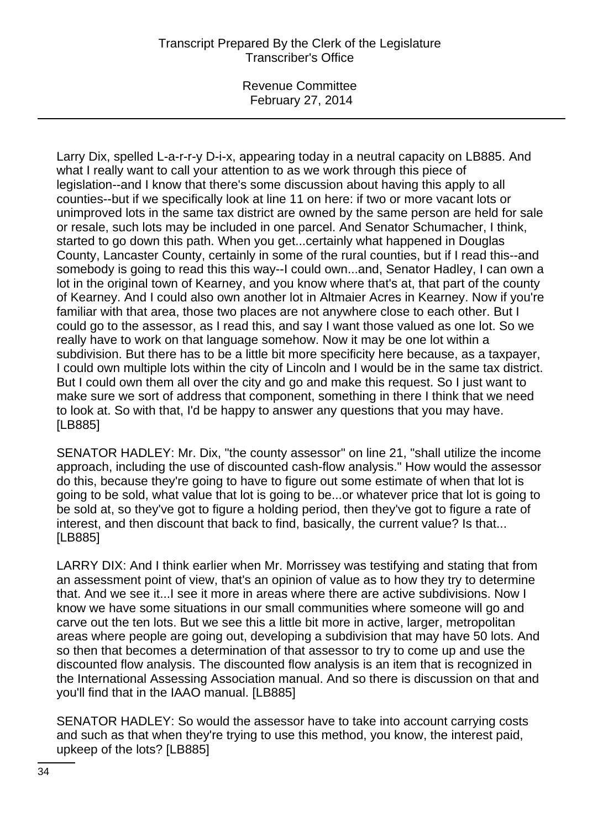Revenue Committee February 27, 2014

Larry Dix, spelled L-a-r-r-y D-i-x, appearing today in a neutral capacity on LB885. And what I really want to call your attention to as we work through this piece of legislation--and I know that there's some discussion about having this apply to all counties--but if we specifically look at line 11 on here: if two or more vacant lots or unimproved lots in the same tax district are owned by the same person are held for sale or resale, such lots may be included in one parcel. And Senator Schumacher, I think, started to go down this path. When you get...certainly what happened in Douglas County, Lancaster County, certainly in some of the rural counties, but if I read this--and somebody is going to read this this way--I could own...and, Senator Hadley, I can own a lot in the original town of Kearney, and you know where that's at, that part of the county of Kearney. And I could also own another lot in Altmaier Acres in Kearney. Now if you're familiar with that area, those two places are not anywhere close to each other. But I could go to the assessor, as I read this, and say I want those valued as one lot. So we really have to work on that language somehow. Now it may be one lot within a subdivision. But there has to be a little bit more specificity here because, as a taxpayer, I could own multiple lots within the city of Lincoln and I would be in the same tax district. But I could own them all over the city and go and make this request. So I just want to make sure we sort of address that component, something in there I think that we need to look at. So with that, I'd be happy to answer any questions that you may have. [LB885]

SENATOR HADLEY: Mr. Dix, "the county assessor" on line 21, "shall utilize the income approach, including the use of discounted cash-flow analysis." How would the assessor do this, because they're going to have to figure out some estimate of when that lot is going to be sold, what value that lot is going to be...or whatever price that lot is going to be sold at, so they've got to figure a holding period, then they've got to figure a rate of interest, and then discount that back to find, basically, the current value? Is that... [LB885]

LARRY DIX: And I think earlier when Mr. Morrissey was testifying and stating that from an assessment point of view, that's an opinion of value as to how they try to determine that. And we see it...I see it more in areas where there are active subdivisions. Now I know we have some situations in our small communities where someone will go and carve out the ten lots. But we see this a little bit more in active, larger, metropolitan areas where people are going out, developing a subdivision that may have 50 lots. And so then that becomes a determination of that assessor to try to come up and use the discounted flow analysis. The discounted flow analysis is an item that is recognized in the International Assessing Association manual. And so there is discussion on that and you'll find that in the IAAO manual. [LB885]

SENATOR HADLEY: So would the assessor have to take into account carrying costs and such as that when they're trying to use this method, you know, the interest paid, upkeep of the lots? [LB885]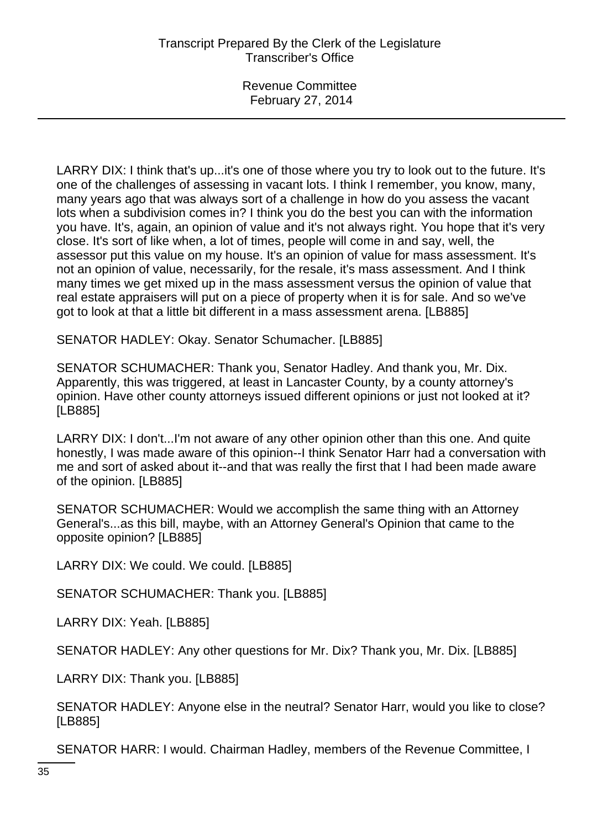LARRY DIX: I think that's up...it's one of those where you try to look out to the future. It's one of the challenges of assessing in vacant lots. I think I remember, you know, many, many years ago that was always sort of a challenge in how do you assess the vacant lots when a subdivision comes in? I think you do the best you can with the information you have. It's, again, an opinion of value and it's not always right. You hope that it's very close. It's sort of like when, a lot of times, people will come in and say, well, the assessor put this value on my house. It's an opinion of value for mass assessment. It's not an opinion of value, necessarily, for the resale, it's mass assessment. And I think many times we get mixed up in the mass assessment versus the opinion of value that real estate appraisers will put on a piece of property when it is for sale. And so we've got to look at that a little bit different in a mass assessment arena. [LB885]

SENATOR HADLEY: Okay. Senator Schumacher. [LB885]

SENATOR SCHUMACHER: Thank you, Senator Hadley. And thank you, Mr. Dix. Apparently, this was triggered, at least in Lancaster County, by a county attorney's opinion. Have other county attorneys issued different opinions or just not looked at it? [LB885]

LARRY DIX: I don't...I'm not aware of any other opinion other than this one. And quite honestly, I was made aware of this opinion--I think Senator Harr had a conversation with me and sort of asked about it--and that was really the first that I had been made aware of the opinion. [LB885]

SENATOR SCHUMACHER: Would we accomplish the same thing with an Attorney General's...as this bill, maybe, with an Attorney General's Opinion that came to the opposite opinion? [LB885]

LARRY DIX: We could. We could. [LB885]

SENATOR SCHUMACHER: Thank you. [LB885]

LARRY DIX: Yeah. [LB885]

SENATOR HADLEY: Any other questions for Mr. Dix? Thank you, Mr. Dix. [LB885]

LARRY DIX: Thank you. [LB885]

SENATOR HADLEY: Anyone else in the neutral? Senator Harr, would you like to close? [LB885]

SENATOR HARR: I would. Chairman Hadley, members of the Revenue Committee, I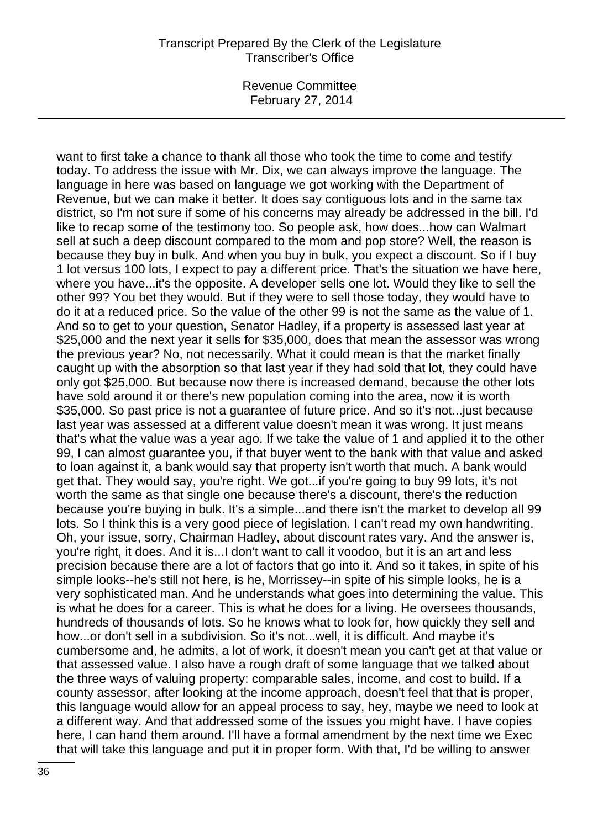Revenue Committee February 27, 2014

want to first take a chance to thank all those who took the time to come and testify today. To address the issue with Mr. Dix, we can always improve the language. The language in here was based on language we got working with the Department of Revenue, but we can make it better. It does say contiguous lots and in the same tax district, so I'm not sure if some of his concerns may already be addressed in the bill. I'd like to recap some of the testimony too. So people ask, how does...how can Walmart sell at such a deep discount compared to the mom and pop store? Well, the reason is because they buy in bulk. And when you buy in bulk, you expect a discount. So if I buy 1 lot versus 100 lots, I expect to pay a different price. That's the situation we have here, where you have...it's the opposite. A developer sells one lot. Would they like to sell the other 99? You bet they would. But if they were to sell those today, they would have to do it at a reduced price. So the value of the other 99 is not the same as the value of 1. And so to get to your question, Senator Hadley, if a property is assessed last year at \$25,000 and the next year it sells for \$35,000, does that mean the assessor was wrong the previous year? No, not necessarily. What it could mean is that the market finally caught up with the absorption so that last year if they had sold that lot, they could have only got \$25,000. But because now there is increased demand, because the other lots have sold around it or there's new population coming into the area, now it is worth \$35,000. So past price is not a guarantee of future price. And so it's not...just because last year was assessed at a different value doesn't mean it was wrong. It just means that's what the value was a year ago. If we take the value of 1 and applied it to the other 99, I can almost guarantee you, if that buyer went to the bank with that value and asked to loan against it, a bank would say that property isn't worth that much. A bank would get that. They would say, you're right. We got...if you're going to buy 99 lots, it's not worth the same as that single one because there's a discount, there's the reduction because you're buying in bulk. It's a simple...and there isn't the market to develop all 99 lots. So I think this is a very good piece of legislation. I can't read my own handwriting. Oh, your issue, sorry, Chairman Hadley, about discount rates vary. And the answer is, you're right, it does. And it is...I don't want to call it voodoo, but it is an art and less precision because there are a lot of factors that go into it. And so it takes, in spite of his simple looks--he's still not here, is he, Morrissey--in spite of his simple looks, he is a very sophisticated man. And he understands what goes into determining the value. This is what he does for a career. This is what he does for a living. He oversees thousands, hundreds of thousands of lots. So he knows what to look for, how quickly they sell and how...or don't sell in a subdivision. So it's not...well, it is difficult. And maybe it's cumbersome and, he admits, a lot of work, it doesn't mean you can't get at that value or that assessed value. I also have a rough draft of some language that we talked about the three ways of valuing property: comparable sales, income, and cost to build. If a county assessor, after looking at the income approach, doesn't feel that that is proper, this language would allow for an appeal process to say, hey, maybe we need to look at a different way. And that addressed some of the issues you might have. I have copies here, I can hand them around. I'll have a formal amendment by the next time we Exec that will take this language and put it in proper form. With that, I'd be willing to answer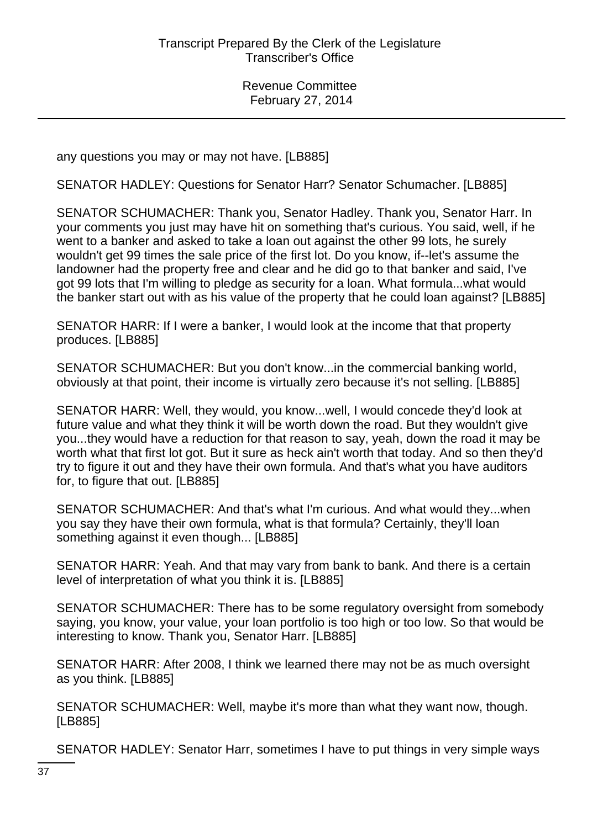any questions you may or may not have. [LB885]

SENATOR HADLEY: Questions for Senator Harr? Senator Schumacher. [LB885]

SENATOR SCHUMACHER: Thank you, Senator Hadley. Thank you, Senator Harr. In your comments you just may have hit on something that's curious. You said, well, if he went to a banker and asked to take a loan out against the other 99 lots, he surely wouldn't get 99 times the sale price of the first lot. Do you know, if--let's assume the landowner had the property free and clear and he did go to that banker and said, I've got 99 lots that I'm willing to pledge as security for a loan. What formula...what would the banker start out with as his value of the property that he could loan against? [LB885]

SENATOR HARR: If I were a banker, I would look at the income that that property produces. [LB885]

SENATOR SCHUMACHER: But you don't know...in the commercial banking world, obviously at that point, their income is virtually zero because it's not selling. [LB885]

SENATOR HARR: Well, they would, you know...well, I would concede they'd look at future value and what they think it will be worth down the road. But they wouldn't give you...they would have a reduction for that reason to say, yeah, down the road it may be worth what that first lot got. But it sure as heck ain't worth that today. And so then they'd try to figure it out and they have their own formula. And that's what you have auditors for, to figure that out. [LB885]

SENATOR SCHUMACHER: And that's what I'm curious. And what would they...when you say they have their own formula, what is that formula? Certainly, they'll loan something against it even though... [LB885]

SENATOR HARR: Yeah. And that may vary from bank to bank. And there is a certain level of interpretation of what you think it is. [LB885]

SENATOR SCHUMACHER: There has to be some regulatory oversight from somebody saying, you know, your value, your loan portfolio is too high or too low. So that would be interesting to know. Thank you, Senator Harr. [LB885]

SENATOR HARR: After 2008, I think we learned there may not be as much oversight as you think. [LB885]

SENATOR SCHUMACHER: Well, maybe it's more than what they want now, though. [LB885]

SENATOR HADLEY: Senator Harr, sometimes I have to put things in very simple ways